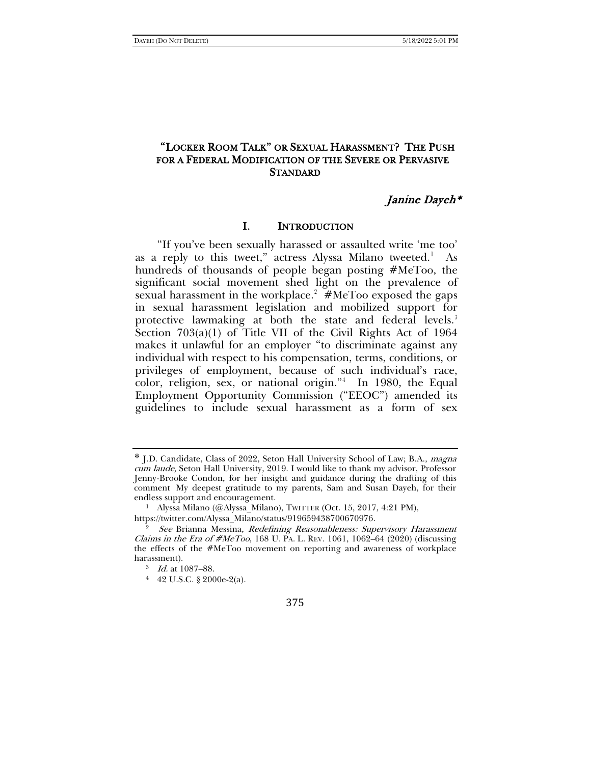## "LOCKER ROOM TALK" OR SEXUAL HARASSMENT? THE PUSH FOR A FEDERAL MODIFICATION OF THE SEVERE OR PERVASIVE **STANDARD**

## Janine Dayeh\*

#### I. INTRODUCTION

"If you've been sexually harassed or assaulted write 'me too' as a reply to this tweet," actress Alyssa Milano tweeted.<sup>[1](#page-0-0)</sup> As hundreds of thousands of people began posting #MeToo, the significant social movement shed light on the prevalence of sexual harassment in the workplace.<sup>[2](#page-0-1)</sup>  $#$ MeToo exposed the gaps in sexual harassment legislation and mobilized support for protective lawmaking at both the state and federal levels.<sup>[3](#page-0-2)</sup> Section 703(a)(1) of Title VII of the Civil Rights Act of 1964 makes it unlawful for an employer "to discriminate against any individual with respect to his compensation, terms, conditions, or privileges of employment, because of such individual's race, color, religion, sex, or national origin."[4](#page-0-3) In 1980, the Equal Employment Opportunity Commission ("EEOC") amended its guidelines to include sexual harassment as a form of sex

<span id="page-0-0"></span><sup>\*</sup> J.D. Candidate, Class of 2022, Seton Hall University School of Law; B.A., magna cum laude, Seton Hall University, 2019. I would like to thank my advisor, Professor Jenny-Brooke Condon, for her insight and guidance during the drafting of this comment My deepest gratitude to my parents, Sam and Susan Dayeh, for their endless support and encouragement.

<sup>&</sup>lt;sup>1</sup> Alyssa Milano (@Alyssa\_Milano), TWITTER (Oct. 15, 2017, 4:21 PM),

https://twitter.com/Alyssa\_Milano/status/919659438700670976.

<span id="page-0-3"></span><span id="page-0-2"></span><span id="page-0-1"></span><sup>&</sup>lt;sup>2</sup> See Brianna Messina, Redefining Reasonableness: Supervisory Harassment Claims in the Era of  $\# \text{MeToo}$ , 168 U. PA. L. REV. 1061, 1062–64 (2020) (discussing the effects of the #MeToo movement on reporting and awareness of workplace harassment).

<sup>3</sup> Id. at 1087–88.

<sup>4</sup> 42 U.S.C. § 2000e-2(a).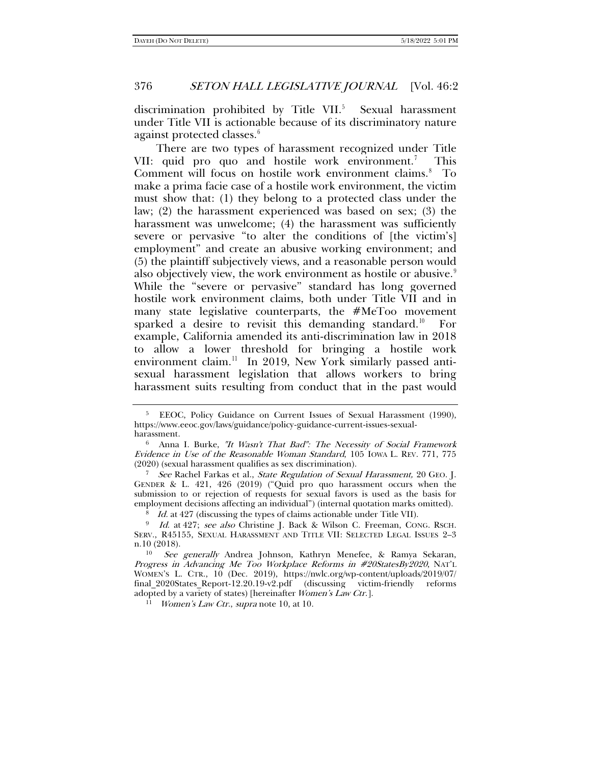<span id="page-1-10"></span>discrimination prohibited by Title VII. $5$  Sexual harassment under Title VII is actionable because of its discriminatory nature against protected classes.<sup>[6](#page-1-2)</sup>

<span id="page-1-11"></span><span id="page-1-9"></span><span id="page-1-8"></span>There are two types of harassment recognized under Title VII: quid pro quo and hostile work environment.<sup>[7](#page-1-3)</sup> This Comment will focus on hostile work environment claims.<sup>[8](#page-1-4)</sup> To make a prima facie case of a hostile work environment, the victim must show that: (1) they belong to a protected class under the law; (2) the harassment experienced was based on sex; (3) the harassment was unwelcome; (4) the harassment was sufficiently severe or pervasive "to alter the conditions of [the victim's] employment" and create an abusive working environment; and (5) the plaintiff subjectively views, and a reasonable person would also objectively view, the work environment as hostile or abusive.<sup>[9](#page-1-5)</sup> While the "severe or pervasive" standard has long governed hostile work environment claims, both under Title VII and in many state legislative counterparts, the #MeToo movement sparked a desire to revisit this demanding standard.<sup>[10](#page-1-6)</sup> For example, California amended its anti-discrimination law in 2018 to allow a lower threshold for bringing a hostile work environment claim.<sup>[11](#page-1-7)</sup> In 2019, New York similarly passed antisexual harassment legislation that allows workers to bring harassment suits resulting from conduct that in the past would

<span id="page-1-3"></span><sup>7</sup> See Rachel Farkas et al., State Regulation of Sexual Harassment, 20 GEO. J. GENDER & L. 421, 426 (2019) ("Quid pro quo harassment occurs when the submission to or rejection of requests for sexual favors is used as the basis for employment decisions affecting an individual") (internal quotation marks omitted).

<sup>11</sup> *Women's Law Ctr., supra* not[e 10,](#page-1-0) at 10.

<span id="page-1-1"></span><span id="page-1-0"></span><sup>&</sup>lt;sup>5</sup> EEOC, Policy Guidance on Current Issues of Sexual Harassment (1990), https://www.eeoc.gov/laws/guidance/policy-guidance-current-issues-sexual-

<span id="page-1-2"></span>harassment.<br><sup>6</sup> Anna I. Burke, *"It Wasn't That Bad": The Necessity of Social Framework* Evidence in Use of the Reasonable Woman Standard, 105 IOWA L. REV. 771, 775 (2020) (sexual harassment qualifies as sex discrimination).

<sup>&</sup>lt;sup>8</sup> Id. at 427 (discussing the types of claims actionable under Title VII).

<span id="page-1-5"></span><span id="page-1-4"></span><sup>&</sup>lt;sup>9</sup> Id. at 427; see also Christine J. Back & Wilson C. Freeman, CONG. RSCH. SERV., R45155, SEXUAL HARASSMENT AND TITLE VII: SELECTED LEGAL ISSUES 2–3 n.10 (2018).

<span id="page-1-7"></span><span id="page-1-6"></span><sup>10</sup> See generally Andrea Johnson, Kathryn Menefee, & Ramya Sekaran, Progress in Advancing Me Too Workplace Reforms in #20StatesBy2020, NAT'L WOMEN'S L. CTR., 10 (Dec. 2019), https://nwlc.org/wp-content/uploads/2019/07/ final\_2020States\_Report-12.20.19-v2.pdf (discussing victim-friendly reforms adopted by a variety of states) [hereinafter Women's Law Ctr.].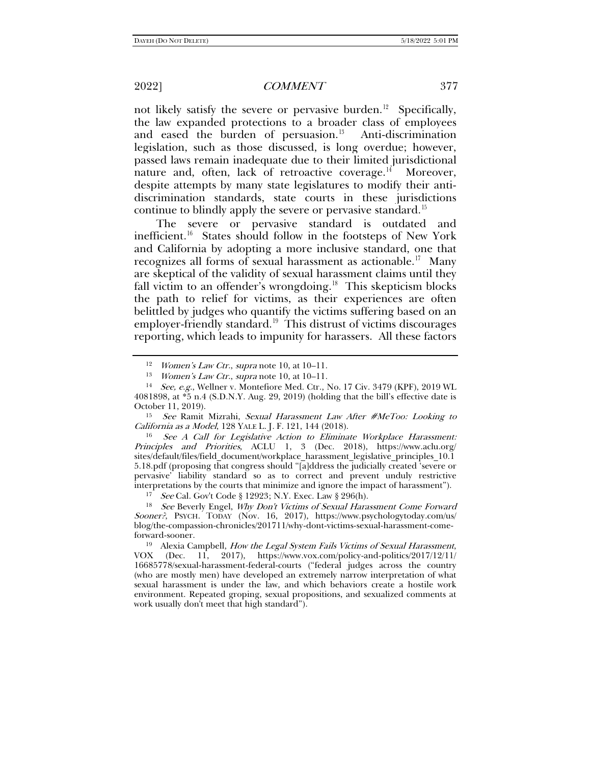not likely satisfy the severe or pervasive burden.<sup>12</sup> Specifically, the law expanded protections to a broader class of employees and eased the burden of persuasion. $13$  Anti-discrimination legislation, such as those discussed, is long overdue; however, passed laws remain inadequate due to their limited jurisdictional nature and, often, lack of retroactive coverage. $^{14}$  Moreover, despite attempts by many state legislatures to modify their antidiscrimination standards, state courts in these jurisdictions continue to blindly apply the severe or pervasive standard.<sup>[15](#page-2-3)</sup>

The severe or pervasive standard is outdated and inefficient.<sup>16</sup> States should follow in the footsteps of New York and California by adopting a more inclusive standard, one that recognizes all forms of sexual harassment as actionable.<sup>17</sup> Many are skeptical of the validity of sexual harassment claims until they fall victim to an offender's wrongdoing.<sup>18</sup> This skepticism blocks the path to relief for victims, as their experiences are often belittled by judges who quantify the victims suffering based on an employer-friendly standard.<sup>[19](#page-2-7)</sup> This distrust of victims discourages reporting, which leads to impunity for harassers. All these factors

<span id="page-2-3"></span><sup>15</sup> See Ramit Mizrahi, Sexual Harassment Law After #MeToo: Looking to California as a Model, 128 YALE L. J. F. 121, 144 (2018).

<span id="page-2-4"></span><sup>16</sup> See A Call for Legislative Action to Eliminate Workplace Harassment: Principles and Priorities, ACLU 1, 3 (Dec. 2018), https://www.aclu.org/ sites/default/files/field\_document/workplace\_harassment\_legislative\_principles\_10.1 5.18.pdf (proposing that congress should "[a]ddress the judicially created 'severe or pervasive' liability standard so as to correct and prevent unduly restrictive interpretations by the courts that minimize and ignore the impact of harassment").

<span id="page-2-6"></span><span id="page-2-5"></span><sup>17</sup> See Cal. Gov't Code § 12923; N.Y. Exec. Law § 296(h).<br><sup>18</sup> See Beverly Engel, *Why Don't Victims of Sexual Harassment Come Forward* Sooner?, PSYCH. TODAY (Nov. 16, 2017), https://www.psychologytoday.com/us/ blog/the-compassion-chronicles/201711/why-dont-victims-sexual-harassment-comeforward-sooner.

<span id="page-2-7"></span><sup>19</sup> Alexia Campbell, *How the Legal System Fails Victims of Sexual Harassment*, VOX (Dec. 11, 2017). https://www.vox.com/policy-and-politics/2017/12/11/ (Dec. 11, 2017), https://www.vox.com/policy-and-politics/2017/12/11/ 16685778/sexual-harassment-federal-courts ("federal judges across the country (who are mostly men) have developed an extremely narrow interpretation of what sexual harassment is under the law, and which behaviors create a hostile work environment. Repeated groping, sexual propositions, and sexualized comments at work usually don't meet that high standard").

<sup>&</sup>lt;sup>12</sup> *Women's Law Ctr., supra* not[e 10,](#page-1-0) at  $10-11$ .

<sup>&</sup>lt;sup>13</sup> *Women's Law Ctr., supra* not[e 10,](#page-1-0) at  $10-11$ .

<span id="page-2-2"></span><span id="page-2-1"></span><span id="page-2-0"></span><sup>14</sup> See, e.g., Wellner v. Montefiore Med. Ctr., No. 17 Civ. 3479 (KPF), 2019 WL 4081898, at \*5 n.4 (S.D.N.Y. Aug. 29, 2019) (holding that the bill's effective date is October 11, 2019).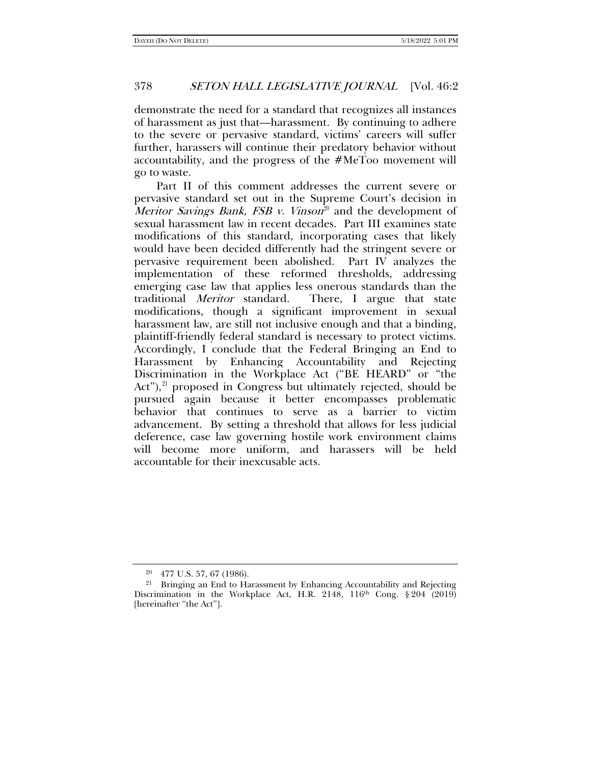demonstrate the need for a standard that recognizes all instances of harassment as just that—harassment. By continuing to adhere to the severe or pervasive standard, victims' careers will suffer further, harassers will continue their predatory behavior without accountability, and the progress of the #MeToo movement will go to waste.

Part II of this comment addresses the current severe or pervasive standard set out in the Supreme Court's decision in *Meritor Savings Bank, FSB v. Vinson*<sup>[20](#page-3-0)</sup> and the development of sexual harassment law in recent decades. Part III examines state modifications of this standard, incorporating cases that likely would have been decided differently had the stringent severe or pervasive requirement been abolished. Part IV analyzes the implementation of these reformed thresholds, addressing emerging case law that applies less onerous standards than the traditional Meritor standard. There, I argue that state modifications, though a significant improvement in sexual harassment law, are still not inclusive enough and that a binding, plaintiff-friendly federal standard is necessary to protect victims. Accordingly, I conclude that the Federal Bringing an End to Harassment by Enhancing Accountability and Rejecting Discrimination in the Workplace Act ("BE HEARD" or "the Act"),<sup>[21](#page-3-1)</sup> proposed in Congress but ultimately rejected, should be pursued again because it better encompasses problematic behavior that continues to serve as a barrier to victim advancement. By setting a threshold that allows for less judicial deference, case law governing hostile work environment claims will become more uniform, and harassers will be held accountable for their inexcusable acts.

<sup>20</sup> 477 U.S. 57, 67 (1986).

<span id="page-3-1"></span><span id="page-3-0"></span><sup>&</sup>lt;sup>21</sup> Bringing an End to Harassment by Enhancing Accountability and Rejecting Discrimination in the Workplace Act, H.R. 2148, 116<sup>th</sup> Cong. § 204 (2019) [hereinafter "the Act"].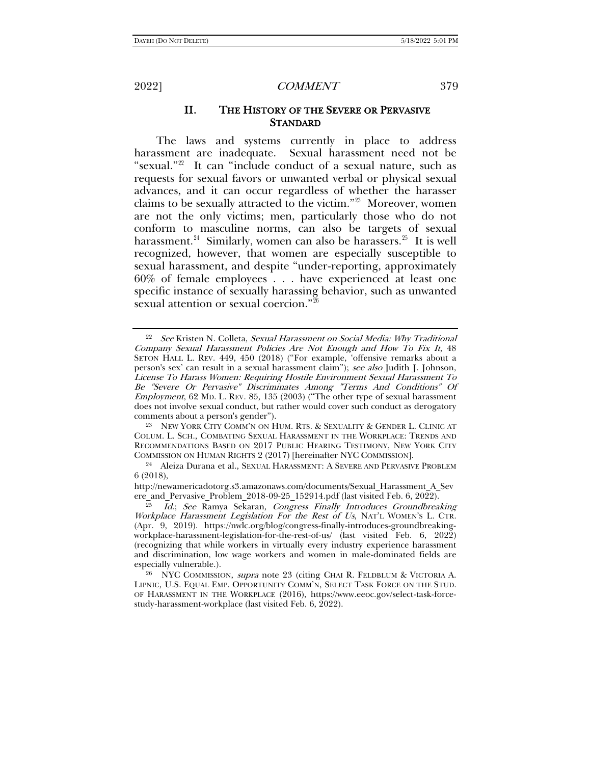<span id="page-4-7"></span><span id="page-4-0"></span>

### II. THE HISTORY OF THE SEVERE OR PERVASIVE **STANDARD**

<span id="page-4-6"></span>The laws and systems currently in place to address harassment are inadequate. Sexual harassment need not be "sexual."[22](#page-4-1) It can "include conduct of a sexual nature, such as requests for sexual favors or unwanted verbal or physical sexual advances, and it can occur regardless of whether the harasser claims to be sexually attracted to the victim."[23](#page-4-2) Moreover, women are not the only victims; men, particularly those who do not conform to masculine norms, can also be targets of sexual harassment.<sup>[24](#page-4-3)</sup> Similarly, women can also be harassers.<sup>[25](#page-4-4)</sup> It is well recognized, however, that women are especially susceptible to sexual harassment, and despite "under-reporting, approximately 60% of female employees . . . have experienced at least one specific instance of sexually harassing behavior, such as unwanted sexual attention or sexual coercion."[26](#page-4-5)

<span id="page-4-2"></span>23 NEW YORK CITY COMM'N ON HUM. RTS. & SEXUALITY & GENDER L. CLINIC AT COLUM. L. SCH., COMBATING SEXUAL HARASSMENT IN THE WORKPLACE: TRENDS AND RECOMMENDATIONS BASED ON 2017 PUBLIC HEARING TESTIMONY, NEW YORK CITY COMMISSION ON HUMAN RIGHTS 2 (2017) [hereinafter NYC COMMISSION]. 24 Aleiza Durana et al., SEXUAL HARASSMENT: A SEVERE AND PERVASIVE PROBLEM

<span id="page-4-1"></span><sup>&</sup>lt;sup>22</sup> See Kristen N. Colleta, Sexual Harassment on Social Media: Why Traditional Company Sexual Harassment Policies Are Not Enough and How To Fix It, 48 SETON HALL L. REV. 449, 450 (2018) ("For example, 'offensive remarks about a person's sex' can result in a sexual harassment claim"); see also Judith J. Johnson, License To Harass Women: Requiring Hostile Environment Sexual Harassment To Be "Severe Or Pervasive" Discriminates Among "Terms And Conditions" Of Employment, 62 MD. L. REV. 85, 135 (2003) ("The other type of sexual harassment does not involve sexual conduct, but rather would cover such conduct as derogatory comments about a person's gender").

<span id="page-4-3"></span><sup>6 (2018),</sup> 

http://newamericadotorg.s3.amazonaws.com/documents/Sexual\_Harassment\_A\_Sev ere\_and\_Pervasive\_Problem\_2018-09-25\_152914.pdf (last visited Feb. 6, 2022).

<span id="page-4-4"></span><sup>&</sup>lt;sup>25</sup> Id.; See Ramya Sekaran, Congress Finally Introduces Groundbreaking Workplace Harassment Legislation For the Rest of Us, NAT'L WOMEN'S L. CTR. (Apr. 9, 2019). https://nwlc.org/blog/congress-finally-introduces-groundbreakingworkplace-harassment-legislation-for-the-rest-of-us/ (last visited Feb. 6, 2022) (recognizing that while workers in virtually every industry experience harassment and discrimination, low wage workers and women in male-dominated fields are especially vulnerable.).

<span id="page-4-5"></span><sup>26</sup> NYC COMMISSION, supra note [23](#page-4-0) (citing CHAI R. FELDBLUM & VICTORIA A. LIPNIC, U.S. EQUAL EMP. OPPORTUNITY COMM'N, SELECT TASK FORCE ON THE STUD. OF HARASSMENT IN THE WORKPLACE (2016), https://www.eeoc.gov/select-task-forcestudy-harassment-workplace (last visited Feb. 6, 2022).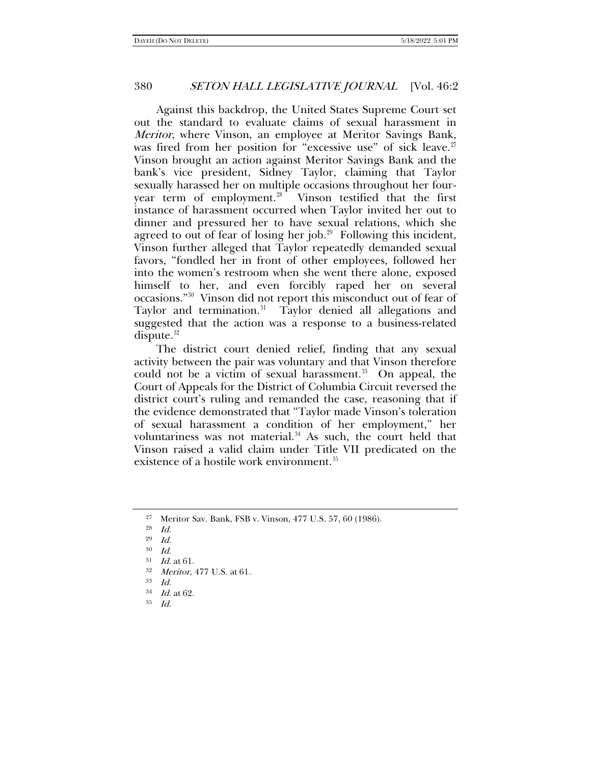Against this backdrop, the United States Supreme Court set out the standard to evaluate claims of sexual harassment in Meritor, where Vinson, an employee at Meritor Savings Bank, was fired from her position for "excessive use" of sick leave.<sup>[27](#page-5-0)</sup> Vinson brought an action against Meritor Savings Bank and the bank's vice president, Sidney Taylor, claiming that Taylor sexually harassed her on multiple occasions throughout her four-year term of employment.<sup>[28](#page-5-1)</sup> Vinson testified that the first instance of harassment occurred when Taylor invited her out to dinner and pressured her to have sexual relations, which she agreed to out of fear of losing her job. $29$  Following this incident, Vinson further alleged that Taylor repeatedly demanded sexual favors, "fondled her in front of other employees, followed her into the women's restroom when she went there alone, exposed himself to her, and even forcibly raped her on several occasions."[30](#page-5-3) Vinson did not report this misconduct out of fear of Taylor and termination.<sup>31</sup> Taylor denied all allegations and suggested that the action was a response to a business-related dispute. $32$ 

The district court denied relief, finding that any sexual activity between the pair was voluntary and that Vinson therefore could not be a victim of sexual harassment. $33$  On appeal, the Court of Appeals for the District of Columbia Circuit reversed the district court's ruling and remanded the case, reasoning that if the evidence demonstrated that "Taylor made Vinson's toleration of sexual harassment a condition of her employment," her voluntariness was not material. $34$  As such, the court held that Vinson raised a valid claim under Title VII predicated on the existence of a hostile work environment.<sup>[35](#page-5-8)</sup>

<span id="page-5-0"></span><sup>27</sup> Meritor Sav. Bank, FSB v. Vinson, 477 U.S. 57, 60 (1986).

<span id="page-5-1"></span><sup>28</sup> Id.

<span id="page-5-2"></span><sup>29</sup> Id.

<span id="page-5-3"></span> $30$  *Id.* 

<span id="page-5-4"></span> $31$  *Id.* at 61.

 $3^3$  *Meritor*, 477 U.S. at 61.<br> $3^3$  *Id.* 

<span id="page-5-8"></span><span id="page-5-7"></span><span id="page-5-6"></span><span id="page-5-5"></span> $34$  *Id.* at 62.

<sup>35</sup> Id.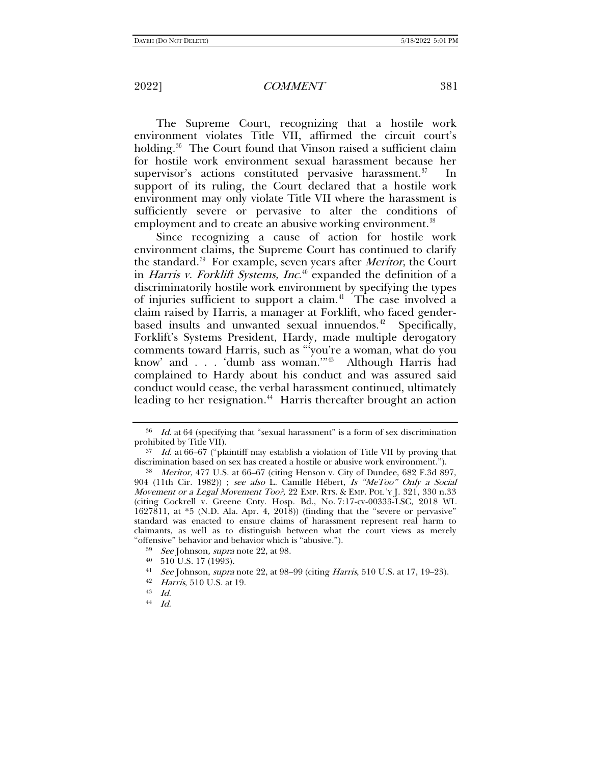The Supreme Court, recognizing that a hostile work environment violates Title VII, affirmed the circuit court's holding.<sup>[36](#page-6-0)</sup> The Court found that Vinson raised a sufficient claim for hostile work environment sexual harassment because her supervisor's actions constituted pervasive harassment.<sup>37</sup> In support of its ruling, the Court declared that a hostile work environment may only violate Title VII where the harassment is sufficiently severe or pervasive to alter the conditions of employment and to create an abusive working environment.<sup>[38](#page-6-2)</sup>

Since recognizing a cause of action for hostile work environment claims, the Supreme Court has continued to clarify the standard.<sup>39</sup> For example, seven years after *Meritor*, the Court in Harris v. Forklift Systems, Inc.<sup>[40](#page-6-4)</sup> expanded the definition of a discriminatorily hostile work environment by specifying the types of injuries sufficient to support a claim.<sup>41</sup> The case involved a claim raised by Harris, a manager at Forklift, who faced genderbased insults and unwanted sexual innuendos. $42$  Specifically, Forklift's Systems President, Hardy, made multiple derogatory comments toward Harris, such as "'you're a woman, what do you know' and . . . 'dumb ass woman.'"[43](#page-6-7) Although Harris had complained to Hardy about his conduct and was assured said conduct would cease, the verbal harassment continued, ultimately leading to her resignation.<sup>44</sup> Harris thereafter brought an action

<span id="page-6-0"></span> $36$  Id. at 64 (specifying that "sexual harassment" is a form of sex discrimination prohibited by Title VII).

<span id="page-6-1"></span> $37$  Id. at 66–67 ("plaintiff may establish a violation of Title VII by proving that discrimination based on sex has created a hostile or abusive work environment.").

<span id="page-6-2"></span><sup>38</sup> Meritor, 477 U.S. at 66–67 (citing Henson v. City of Dundee, 682 F.3d 897, 904 (11th Cir. 1982)) ; see also L. Camille Hébert, Is "MeToo" Only a Social Movement or a Legal Movement Too?, 22 EMP. RTS. & EMP. POL 'Y J. 321, 330 n.33 (citing Cockrell v. Greene Cnty. Hosp. Bd., No. 7:17-cv-00333-LSC, 2018 WL 1627811, at \*5 (N.D. Ala. Apr. 4, 2018)) (finding that the "severe or pervasive" standard was enacted to ensure claims of harassment represent real harm to claimants, as well as to distinguish between what the court views as merely "offensive" behavior and behavior which is "abusive.").

<span id="page-6-3"></span> $39$  See Johnson, supra note [22,](#page-4-6) at 98.

<span id="page-6-4"></span><sup>40 510</sup> U.S. 17 (1993).<br><sup>41</sup> See Johnson, *supra* note [22,](#page-4-6) at 98–99 (citing *Harris*, 510 U.S. at 17, 19–23).

<span id="page-6-7"></span><span id="page-6-6"></span><span id="page-6-5"></span><sup>42</sup> Harris, 510 U.S. at 19.

<sup>43</sup> Id.

<span id="page-6-8"></span><sup>44</sup> Id.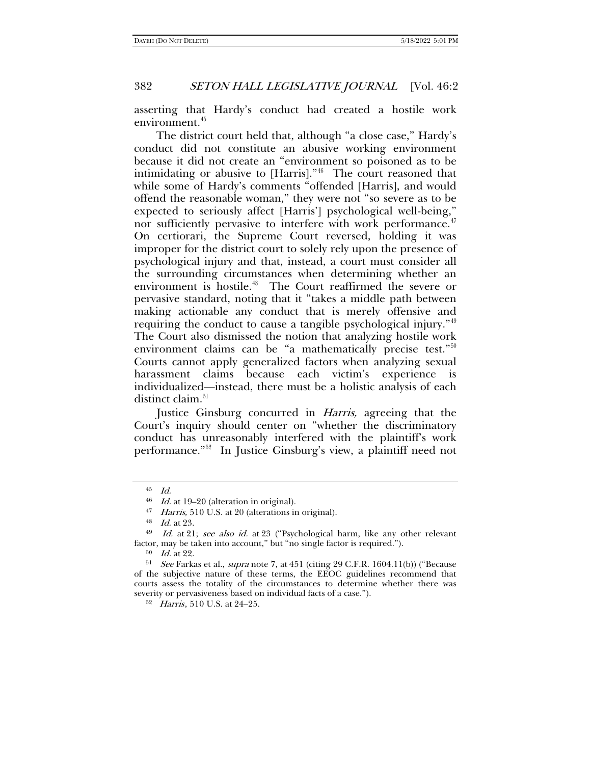asserting that Hardy's conduct had created a hostile work environment.<sup>[45](#page-7-0)</sup>

The district court held that, although "a close case," Hardy's conduct did not constitute an abusive working environment because it did not create an "environment so poisoned as to be intimidating or abusive to [Harris]."[46](#page-7-1) The court reasoned that while some of Hardy's comments "offended [Harris], and would offend the reasonable woman," they were not "so severe as to be expected to seriously affect [Harris'] psychological well-being," nor sufficiently pervasive to interfere with work performance.<sup>[47](#page-7-2)</sup> On certiorari, the Supreme Court reversed, holding it was improper for the district court to solely rely upon the presence of psychological injury and that, instead, a court must consider all the surrounding circumstances when determining whether an environment is hostile.<sup>[48](#page-7-3)</sup> The Court reaffirmed the severe or pervasive standard, noting that it "takes a middle path between making actionable any conduct that is merely offensive and requiring the conduct to cause a tangible psychological injury."[49](#page-7-4) The Court also dismissed the notion that analyzing hostile work environment claims can be "a mathematically precise test."<sup>[50](#page-7-5)</sup> Courts cannot apply generalized factors when analyzing sexual harassment claims because each victim's experience is individualized––instead, there must be a holistic analysis of each distinct claim.<sup>[51](#page-7-6)</sup>

Justice Ginsburg concurred in Harris, agreeing that the Court's inquiry should center on "whether the discriminatory conduct has unreasonably interfered with the plaintiff's work performance."[52](#page-7-7) In Justice Ginsburg's view, a plaintiff need not

<sup>50</sup> Id. at 22.

 $^{45} \quad Id.$ 

 $46$  *Id.* at 19–20 (alteration in original).

<sup>&</sup>lt;sup>47</sup> *Harris*, 510 U.S. at 20 (alterations in original). <sup>48</sup> *Id.* at 23.

<span id="page-7-4"></span><span id="page-7-3"></span><span id="page-7-2"></span><span id="page-7-1"></span><span id="page-7-0"></span> $^{49}$  *Id.* at 21; see also id. at 23 ("Psychological harm, like any other relevant factor, may be taken into account," but "no single factor is required.").

<span id="page-7-7"></span><span id="page-7-6"></span><span id="page-7-5"></span><sup>&</sup>lt;sup>51</sup> See Farkas et al., supra not[e 7,](#page-1-8) at 451 (citing 29 C.F.R. 1604.11(b)) ("Because of the subjective nature of these terms, the EEOC guidelines recommend that courts assess the totality of the circumstances to determine whether there was severity or pervasiveness based on individual facts of a case.").

<sup>52</sup> Harris, 510 U.S. at 24–25.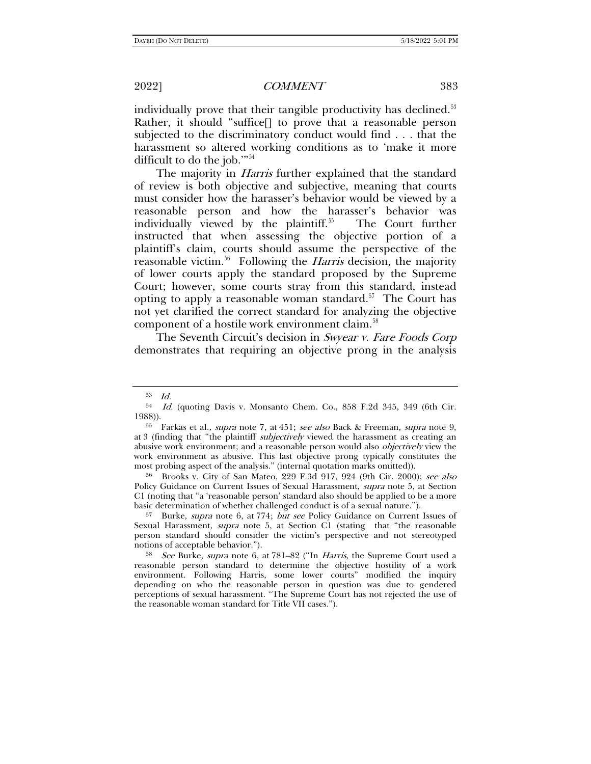individually prove that their tangible productivity has declined.<sup>[53](#page-8-0)</sup> Rather, it should "suffice[] to prove that a reasonable person subjected to the discriminatory conduct would find . . . that the harassment so altered working conditions as to 'make it more difficult to do the job."<sup>[54](#page-8-1)</sup>

The majority in *Harris* further explained that the standard of review is both objective and subjective, meaning that courts must consider how the harasser's behavior would be viewed by a reasonable person and how the harasser's behavior was individually viewed by the plaintiff.<sup>55</sup> The Court further instructed that when assessing the objective portion of a plaintiff's claim, courts should assume the perspective of the reasonable victim.<sup>[56](#page-8-3)</sup> Following the *Harris* decision, the majority of lower courts apply the standard proposed by the Supreme Court; however, some courts stray from this standard, instead opting to apply a reasonable woman standard.<sup>[57](#page-8-4)</sup> The Court has not yet clarified the correct standard for analyzing the objective component of a hostile work environment claim.<sup>[58](#page-8-5)</sup>

The Seventh Circuit's decision in Swyear v. Fare Foods Corp demonstrates that requiring an objective prong in the analysis

<span id="page-8-4"></span><sup>57</sup> Burke, *supra* note [6,](#page-1-11) at 774; *but see* Policy Guidance on Current Issues of Sexual Harassment, supra note [5,](#page-1-10) at Section C1 (stating that "the reasonable person standard should consider the victim's perspective and not stereotyped notions of acceptable behavior.").<br><sup>58</sup> See Burke, *supra* note [6,](#page-1-11) at 781–82 ("In *Harris*, the Supreme Court used a

<sup>53</sup> Id.

<span id="page-8-1"></span><span id="page-8-0"></span><sup>54</sup> Id. (quoting Davis v. Monsanto Chem. Co., 858 F.2d 345, 349 (6th Cir. 1988)).<br><sup>55</sup> Farkas et al., *supra* note [7,](#page-1-8) at 451; *see also* Back & Freeman, *supra* note [9,](#page-1-9)

<span id="page-8-2"></span>at 3 (finding that "the plaintiff *subjectively* viewed the harassment as creating an abusive work environment; and a reasonable person would also *objectively* view the work environment as abusive. This last objective prong typically constitutes the most probing aspect of the analysis." (internal quotation marks omitted)).

<span id="page-8-3"></span><sup>56</sup> Brooks v. City of San Mateo, 229 F.3d 917, 924 (9th Cir. 2000); see also Policy Guidance on Current Issues of Sexual Harassment, supra note [5,](#page-1-10) at Section C1 (noting that "a 'reasonable person' standard also should be applied to be a more basic determination of whether challenged conduct is of a sexual nature.").

<span id="page-8-5"></span>reasonable person standard to determine the objective hostility of a work environment. Following Harris, some lower courts" modified the inquiry depending on who the reasonable person in question was due to gendered perceptions of sexual harassment. "The Supreme Court has not rejected the use of the reasonable woman standard for Title VII cases.").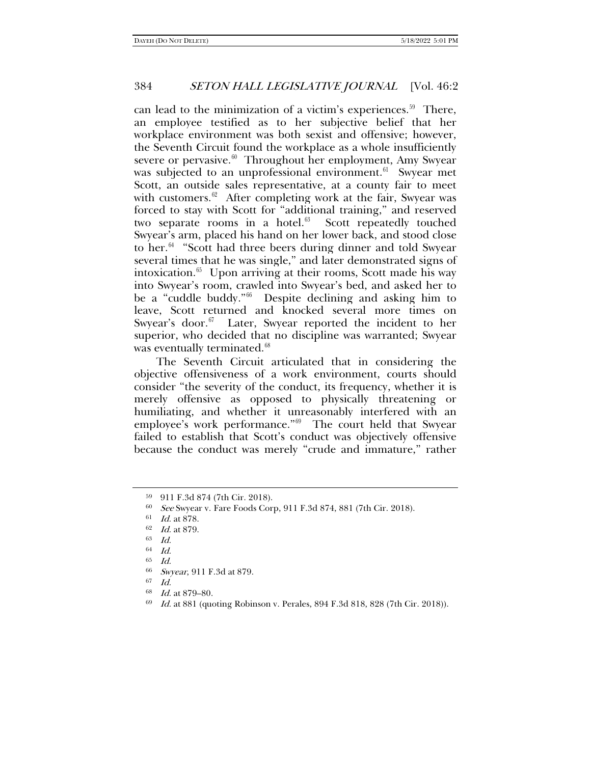can lead to the minimization of a victim's experiences. $59$  There, an employee testified as to her subjective belief that her workplace environment was both sexist and offensive; however, the Seventh Circuit found the workplace as a whole insufficiently severe or pervasive. $60$  Throughout her employment, Amy Swyear was subjected to an unprofessional environment.<sup>[61](#page-9-2)</sup> Swyear met Scott, an outside sales representative, at a county fair to meet with customers. $62$  After completing work at the fair, Swyear was forced to stay with Scott for "additional training," and reserved two separate rooms in a hotel. $63$  Scott repeatedly touched Swyear's arm, placed his hand on her lower back, and stood close to her. $64$  "Scott had three beers during dinner and told Swyear several times that he was single," and later demonstrated signs of intoxication.<sup>[65](#page-9-6)</sup> Upon arriving at their rooms, Scott made his way into Swyear's room, crawled into Swyear's bed, and asked her to be a "cuddle buddy."[66](#page-9-7) Despite declining and asking him to leave, Scott returned and knocked several more times on Swyear's door. $67$  Later, Swyear reported the incident to her superior, who decided that no discipline was warranted; Swyear was eventually terminated.<sup>[68](#page-9-9)</sup>

The Seventh Circuit articulated that in considering the objective offensiveness of a work environment, courts should consider "the severity of the conduct, its frequency, whether it is merely offensive as opposed to physically threatening or humiliating, and whether it unreasonably interfered with an employee's work performance."[69](#page-9-10) The court held that Swyear failed to establish that Scott's conduct was objectively offensive because the conduct was merely "crude and immature," rather

<span id="page-9-1"></span><span id="page-9-0"></span> $59$  911 F.3d 874 (7th Cir. 2018).<br>  $59$   $See$  Swyear v. Fare Foods Corp, 911 F.3d 874, 881 (7th Cir. 2018).

<span id="page-9-2"></span><sup>61</sup> Id. at 878.

<span id="page-9-3"></span><sup>62</sup> Id. at 879.

<span id="page-9-4"></span><sup>63</sup> Id.

<span id="page-9-5"></span> $64$  Id.

<span id="page-9-6"></span><sup>65</sup> Id.

<span id="page-9-7"></span><sup>&</sup>lt;sup>66</sup> Swyear, 911 F.3d at 879.

 $Id$ 

<span id="page-9-9"></span><span id="page-9-8"></span><sup>68</sup> Id. at 879–80.

<span id="page-9-10"></span><sup>69</sup> Id. at 881 (quoting Robinson v. Perales, 894 F.3d 818, 828 (7th Cir. 2018)).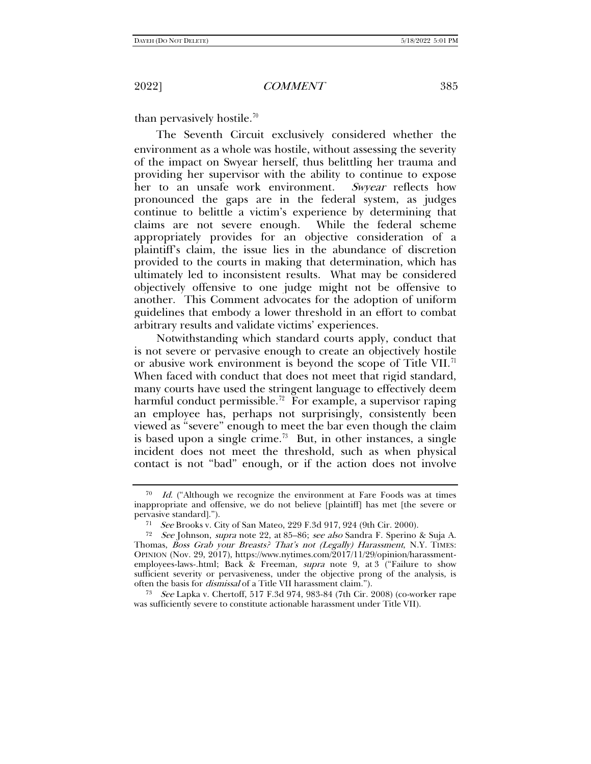than pervasively hostile.<sup>[70](#page-10-0)</sup>

The Seventh Circuit exclusively considered whether the environment as a whole was hostile, without assessing the severity of the impact on Swyear herself, thus belittling her trauma and providing her supervisor with the ability to continue to expose her to an unsafe work environment. Swyear reflects how pronounced the gaps are in the federal system, as judges continue to belittle a victim's experience by determining that claims are not severe enough. While the federal scheme appropriately provides for an objective consideration of a plaintiff's claim, the issue lies in the abundance of discretion provided to the courts in making that determination, which has ultimately led to inconsistent results. What may be considered objectively offensive to one judge might not be offensive to another. This Comment advocates for the adoption of uniform guidelines that embody a lower threshold in an effort to combat arbitrary results and validate victims' experiences.

<span id="page-10-4"></span>Notwithstanding which standard courts apply, conduct that is not severe or pervasive enough to create an objectively hostile or abusive work environment is beyond the scope of Title VII.<sup>[71](#page-10-1)</sup> When faced with conduct that does not meet that rigid standard, many courts have used the stringent language to effectively deem harmful conduct permissible.<sup>72</sup> For example, a supervisor raping an employee has, perhaps not surprisingly, consistently been viewed as "severe" enough to meet the bar even though the claim is based upon a single crime.<sup>[73](#page-10-3)</sup> But, in other instances, a single incident does not meet the threshold, such as when physical contact is not "bad" enough, or if the action does not involve

<span id="page-10-0"></span>Id. ("Although we recognize the environment at Fare Foods was at times inappropriate and offensive, we do not believe [plaintiff] has met [the severe or pervasive standard].").

<sup>71</sup> See Brooks v. City of San Mateo, 229 F.3d 917, 924 (9th Cir. 2000).

<span id="page-10-2"></span><span id="page-10-1"></span><sup>&</sup>lt;sup>72</sup> See Johnson, supra note [22,](#page-4-6) at 85-86; see also Sandra F. Sperino & Suja A. Thomas, Boss Grab your Breasts? That's not (Legally) Harassment, N.Y. TIMES: OPINION (Nov. 29, 2017), https://www.nytimes.com/2017/11/29/opinion/harassmentemployees-laws-.html; Back & Freeman, supra note [9,](#page-1-9) at 3 ("Failure to show sufficient severity or pervasiveness, under the objective prong of the analysis, is often the basis for dismissal of a Title VII harassment claim.").

<span id="page-10-3"></span><sup>73</sup> See Lapka v. Chertoff, 517 F.3d 974, 983-84 (7th Cir. 2008) (co-worker rape was sufficiently severe to constitute actionable harassment under Title VII).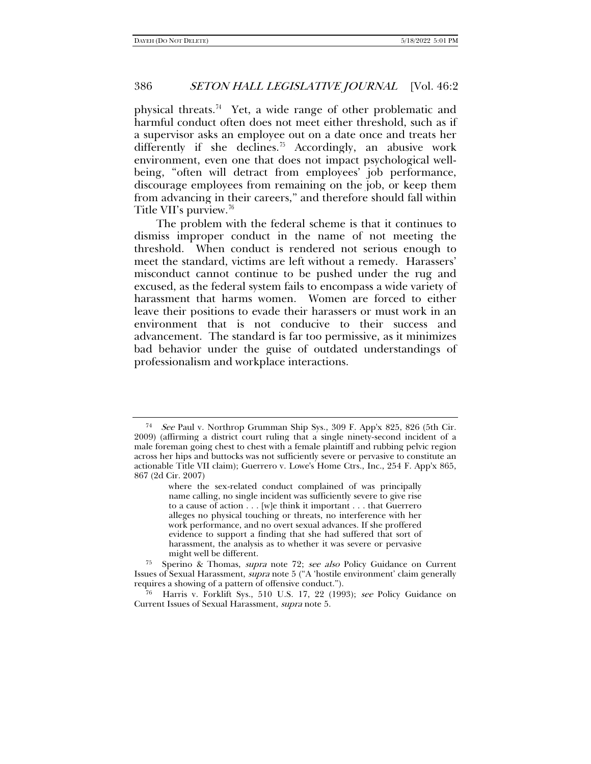physical threats.[74](#page-11-0) Yet, a wide range of other problematic and harmful conduct often does not meet either threshold, such as if a supervisor asks an employee out on a date once and treats her differently if she declines.<sup>75</sup> Accordingly, an abusive work environment, even one that does not impact psychological wellbeing, "often will detract from employees' job performance, discourage employees from remaining on the job, or keep them from advancing in their careers," and therefore should fall within Title VII's purview.<sup>[76](#page-11-2)</sup>

The problem with the federal scheme is that it continues to dismiss improper conduct in the name of not meeting the threshold. When conduct is rendered not serious enough to meet the standard, victims are left without a remedy. Harassers' misconduct cannot continue to be pushed under the rug and excused, as the federal system fails to encompass a wide variety of harassment that harms women. Women are forced to either leave their positions to evade their harassers or must work in an environment that is not conducive to their success and advancement. The standard is far too permissive, as it minimizes bad behavior under the guise of outdated understandings of professionalism and workplace interactions.

<span id="page-11-0"></span><sup>74</sup> See Paul v. Northrop Grumman Ship Sys., 309 F. App'x 825, 826 (5th Cir. 2009) (affirming a district court ruling that a single ninety-second incident of a male foreman going chest to chest with a female plaintiff and rubbing pelvic region across her hips and buttocks was not sufficiently severe or pervasive to constitute an actionable Title VII claim); Guerrero v. Lowe's Home Ctrs., Inc., 254 F. App'x 865, 867 (2d Cir. 2007)

where the sex-related conduct complained of was principally name calling, no single incident was sufficiently severe to give rise to a cause of action . . . [w]e think it important . . . that Guerrero alleges no physical touching or threats, no interference with her work performance, and no overt sexual advances. If she proffered evidence to support a finding that she had suffered that sort of harassment, the analysis as to whether it was severe or pervasive might well be different.

<span id="page-11-1"></span><sup>75</sup> Sperino & Thomas, supra note [72;](#page-10-4) see also Policy Guidance on Current Issues of Sexual Harassment, supra note [5](#page-1-10) ("A 'hostile environment' claim generally requires a showing of a pattern of offensive conduct.").

<span id="page-11-2"></span><sup>76</sup> Harris v. Forklift Sys., 510 U.S. 17, 22 (1993); see Policy Guidance on Current Issues of Sexual Harassment, supra not[e 5.](#page-1-10)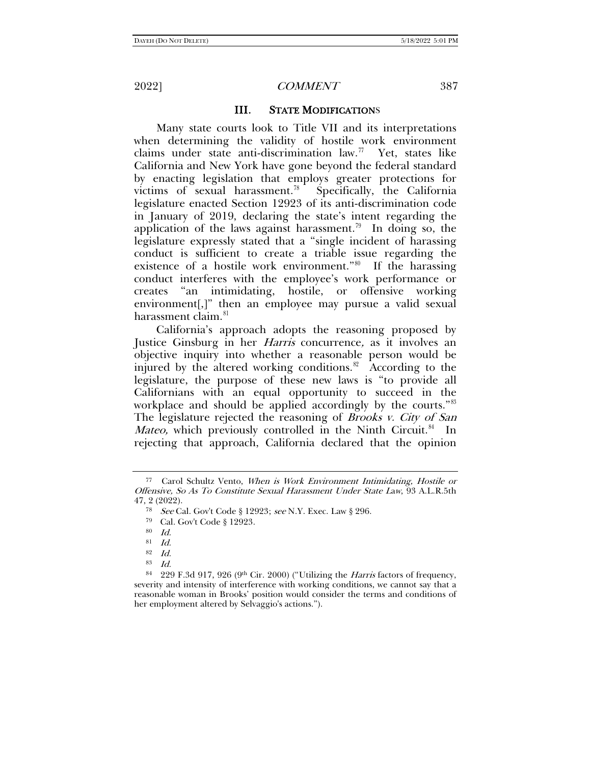#### III. STATE MODIFICATIONS

Many state courts look to Title VII and its interpretations when determining the validity of hostile work environment claims under state anti-discrimination law.<sup>[77](#page-12-0)</sup> Yet, states like California and New York have gone beyond the federal standard by enacting legislation that employs greater protections for victims of sexual harassment.<sup>78</sup> Specifically, the California legislature enacted Section 12923 of its anti-discrimination code in January of 2019, declaring the state's intent regarding the application of the laws against harassment.<sup>[79](#page-12-2)</sup> In doing so, the legislature expressly stated that a "single incident of harassing conduct is sufficient to create a triable issue regarding the existence of a hostile work environment."[80](#page-12-3) If the harassing conduct interferes with the employee's work performance or creates "an intimidating, hostile, or offensive working environment[,]" then an employee may pursue a valid sexual harassment claim.<sup>[81](#page-12-4)</sup>

California's approach adopts the reasoning proposed by Justice Ginsburg in her Harris concurrence, as it involves an objective inquiry into whether a reasonable person would be injured by the altered working conditions.<sup>82</sup> According to the legislature, the purpose of these new laws is "to provide all Californians with an equal opportunity to succeed in the workplace and should be applied accordingly by the courts."[83](#page-12-6) The legislature rejected the reasoning of *Brooks v. City of San Mateo,* which previously controlled in the Ninth Circuit.<sup>84</sup> In rejecting that approach, California declared that the opinion

<span id="page-12-2"></span><span id="page-12-1"></span><span id="page-12-0"></span><sup>77</sup> Carol Schultz Vento, When is Work Environment Intimidating, Hostile or Offensive, So As To Constitute Sexual Harassment Under State Law, 93 A.L.R.5th 47, 2 (2022).

<sup>78</sup> See Cal. Gov't Code § 12923; see N.Y. Exec. Law § 296.

<sup>79</sup> Cal. Gov't Code § 12923.

<sup>80</sup> Id.

<sup>81</sup> Id.

 $\begin{array}{cc} 82 & Id. \\ 83 & Id. \end{array}$ 

<span id="page-12-7"></span><span id="page-12-6"></span><span id="page-12-5"></span><span id="page-12-4"></span><span id="page-12-3"></span><sup>84 229</sup> F.3d 917, 926 (9th Cir. 2000) ("Utilizing the *Harris* factors of frequency, severity and intensity of interference with working conditions, we cannot say that a reasonable woman in Brooks' position would consider the terms and conditions of her employment altered by Selvaggio's actions.").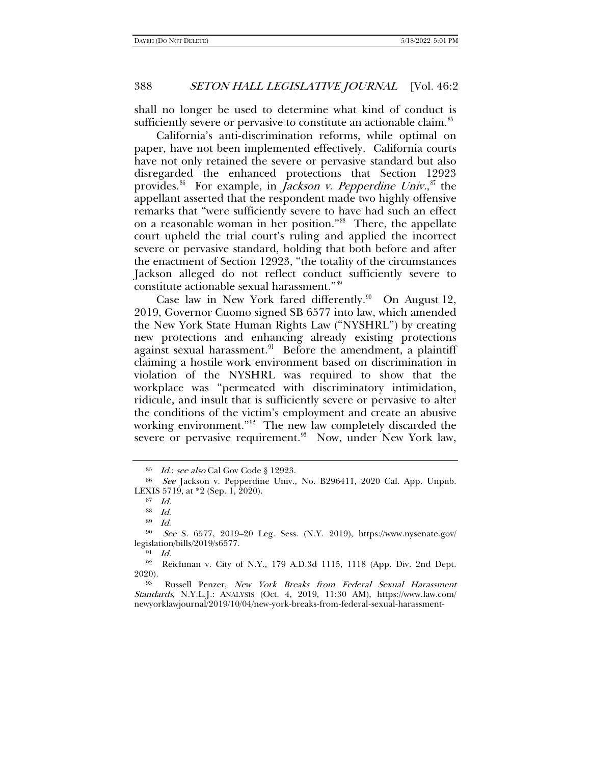shall no longer be used to determine what kind of conduct is sufficiently severe or pervasive to constitute an actionable claim.<sup>[85](#page-13-0)</sup>

California's anti-discrimination reforms, while optimal on paper, have not been implemented effectively. California courts have not only retained the severe or pervasive standard but also disregarded the enhanced protections that Section 12923 provides.<sup>[86](#page-13-1)</sup> For example, in *Jackson v. Pepperdine Univ.*,<sup>[87](#page-13-2)</sup> the appellant asserted that the respondent made two highly offensive remarks that "were sufficiently severe to have had such an effect on a reasonable woman in her position."[88](#page-13-3) There, the appellate court upheld the trial court's ruling and applied the incorrect severe or pervasive standard, holding that both before and after the enactment of Section 12923, "the totality of the circumstances Jackson alleged do not reflect conduct sufficiently severe to constitute actionable sexual harassment."[89](#page-13-4)

Case law in New York fared differently.<sup>[90](#page-13-5)</sup> On August 12, 2019, Governor Cuomo signed SB 6577 into law, which amended the New York State Human Rights Law ("NYSHRL") by creating new protections and enhancing already existing protections against sexual harassment.<sup>91</sup> Before the amendment, a plaintiff claiming a hostile work environment based on discrimination in violation of the NYSHRL was required to show that the workplace was "permeated with discriminatory intimidation, ridicule, and insult that is sufficiently severe or pervasive to alter the conditions of the victim's employment and create an abusive working environment."[92](#page-13-7) The new law completely discarded the severe or pervasive requirement.<sup>93</sup> Now, under New York law,

<span id="page-13-9"></span><sup>85</sup> Id.; see also Cal Gov Code § 12923.

<span id="page-13-2"></span><span id="page-13-1"></span><span id="page-13-0"></span><sup>86</sup> See Jackson v. Pepperdine Univ., No. B296411, 2020 Cal. App. Unpub. LEXIS 5719, at \*2 (Sep. 1, 2020).

<sup>87</sup> Id.

<sup>88</sup> Id.

<sup>89</sup> Id.

<span id="page-13-5"></span><span id="page-13-4"></span><span id="page-13-3"></span><sup>90</sup> See S. 6577, 2019–20 Leg. Sess. (N.Y. 2019), https://www.nysenate.gov/ legislation/bills/2019/s6577.

<sup>91</sup> Id.

<span id="page-13-7"></span><span id="page-13-6"></span><sup>92</sup> Reichman v. City of N.Y., 179 A.D.3d 1115, 1118 (App. Div. 2nd Dept. 2020).

<span id="page-13-8"></span><sup>93</sup> Russell Penzer, New York Breaks from Federal Sexual Harassment Standards, N.Y.L.J.: ANALYSIS (Oct. 4, 2019, 11:30 AM), https://www.law.com/ newyorklawjournal/2019/10/04/new-york-breaks-from-federal-sexual-harassment-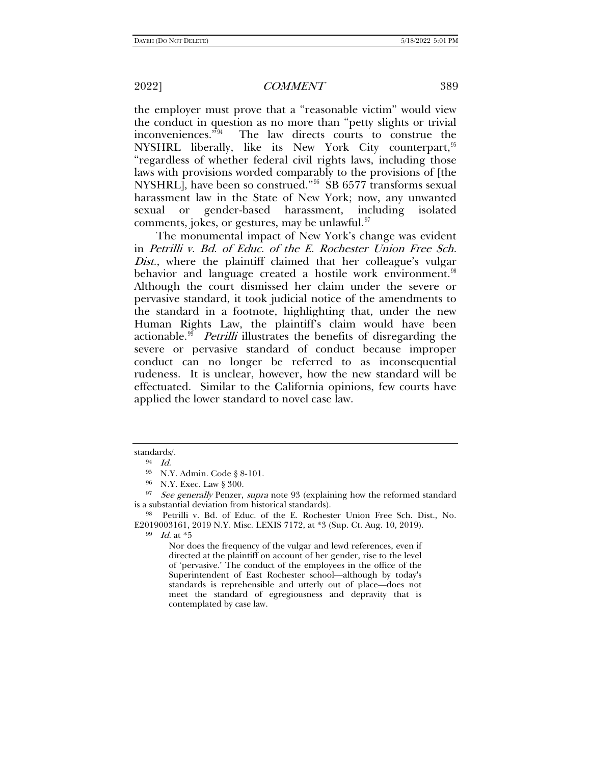the employer must prove that a "reasonable victim" would view the conduct in question as no more than "petty slights or trivial<br>inconveniences."<sup>94</sup> The law directs courts to construe the The law directs courts to construe the NYSHRL liberally, like its New York City counterpart,  $95$ "regardless of whether federal civil rights laws, including those laws with provisions worded comparably to the provisions of [the NYSHRL], have been so construed."[96](#page-14-2) SB 6577 transforms sexual harassment law in the State of New York; now, any unwanted sexual or gender-based harassment, including isolated comments, jokes, or gestures, may be unlawful. $\frac{97}{2}$  $\frac{97}{2}$  $\frac{97}{2}$ 

The monumental impact of New York's change was evident in Petrilli v. Bd. of Educ. of the E. Rochester Union Free Sch. Dist., where the plaintiff claimed that her colleague's vulgar behavior and language created a hostile work environment.<sup>[98](#page-14-4)</sup> Although the court dismissed her claim under the severe or pervasive standard, it took judicial notice of the amendments to the standard in a footnote, highlighting that, under the new Human Rights Law, the plaintiff's claim would have been actionable.<sup>[99](#page-14-5)</sup> *Petrilli* illustrates the benefits of disregarding the severe or pervasive standard of conduct because improper conduct can no longer be referred to as inconsequential rudeness. It is unclear, however, how the new standard will be effectuated. Similar to the California opinions, few courts have applied the lower standard to novel case law.

 $99$  *Id.* at  $*5$ 

Nor does the frequency of the vulgar and lewd references, even if directed at the plaintiff on account of her gender, rise to the level of 'pervasive.' The conduct of the employees in the office of the Superintendent of East Rochester school—although by today's standards is reprehensible and utterly out of place—does not meet the standard of egregiousness and depravity that is contemplated by case law.

<span id="page-14-0"></span>standards/.

 $94$  *Id.* 

<sup>95</sup> N.Y. Admin. Code § 8-101.

<span id="page-14-3"></span><span id="page-14-2"></span><span id="page-14-1"></span><sup>&</sup>lt;sup>96</sup> N.Y. Exec. Law § 300.<br><sup>97</sup> See generally Penzer, supra note [93](#page-13-9) (explaining how the reformed standard is a substantial deviation from historical standards).

<span id="page-14-5"></span><span id="page-14-4"></span><sup>&</sup>lt;sup>98</sup> Petrilli v. Bd. of Educ. of the E. Rochester Union Free Sch. Dist., No. E2019003161, 2019 N.Y. Misc. LEXIS 7172, at \*3 (Sup. Ct. Aug. 10, 2019).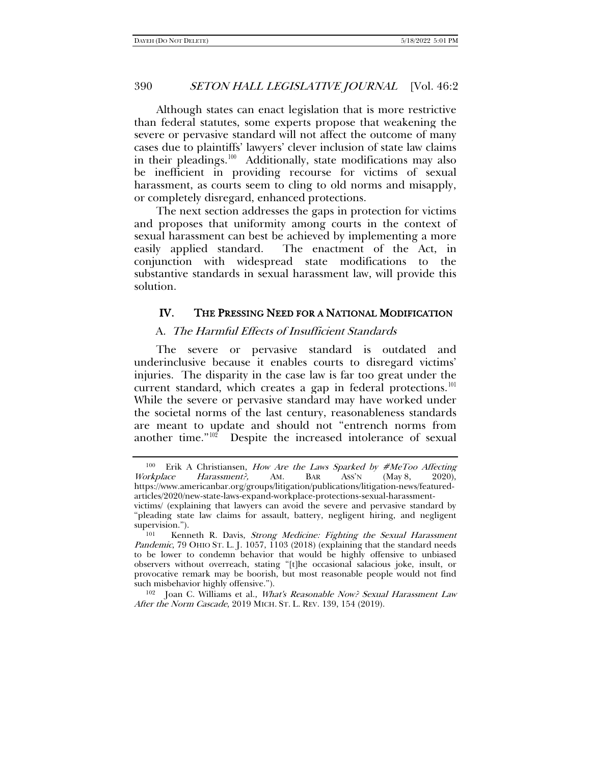Although states can enact legislation that is more restrictive than federal statutes, some experts propose that weakening the severe or pervasive standard will not affect the outcome of many cases due to plaintiffs' lawyers' clever inclusion of state law claims in their pleadings.<sup>100</sup> Additionally, state modifications may also be inefficient in providing recourse for victims of sexual harassment, as courts seem to cling to old norms and misapply, or completely disregard, enhanced protections.

The next section addresses the gaps in protection for victims and proposes that uniformity among courts in the context of sexual harassment can best be achieved by implementing a more easily applied standard. The enactment of the Act, in conjunction with widespread state modifications to the substantive standards in sexual harassment law, will provide this solution.

## IV. THE PRESSING NEED FOR A NATIONAL MODIFICATION

#### A. The Harmful Effects of Insufficient Standards

The severe or pervasive standard is outdated and underinclusive because it enables courts to disregard victims' injuries. The disparity in the case law is far too great under the current standard, which creates a gap in federal protections.<sup>[101](#page-15-1)</sup> While the severe or pervasive standard may have worked under the societal norms of the last century, reasonableness standards are meant to update and should not "entrench norms from another time."[102](#page-15-2) Despite the increased intolerance of sexual

<span id="page-15-2"></span><sup>102</sup> Joan C. Williams et al., *What's Reasonable Now? Sexual Harassment Law* After the Norm Cascade, 2019 MICH. ST. L. REV. 139, 154 (2019).

<span id="page-15-0"></span><sup>&</sup>lt;sup>100</sup> Erik A Christiansen, *How Are the Laws Sparked by #MeToo Affecting Workplace Harassment?*, AM. BAR Ass'N (May 8, 2020), Workplace Harassment?, AM. BAR ASS'N (May 8, 2020), https://www.americanbar.org/groups/litigation/publications/litigation-news/featuredarticles/2020/new-state-laws-expand-workplace-protections-sexual-harassment-

victims/ (explaining that lawyers can avoid the severe and pervasive standard by "pleading state law claims for assault, battery, negligent hiring, and negligent supervision.").

<span id="page-15-1"></span>Kenneth R. Davis, Strong Medicine: Fighting the Sexual Harassment Pandemic, 79 OHIO ST. L. J. 1057, 1103 (2018) (explaining that the standard needs to be lower to condemn behavior that would be highly offensive to unbiased observers without overreach, stating "[t]he occasional salacious joke, insult, or provocative remark may be boorish, but most reasonable people would not find such misbehavior highly offensive.").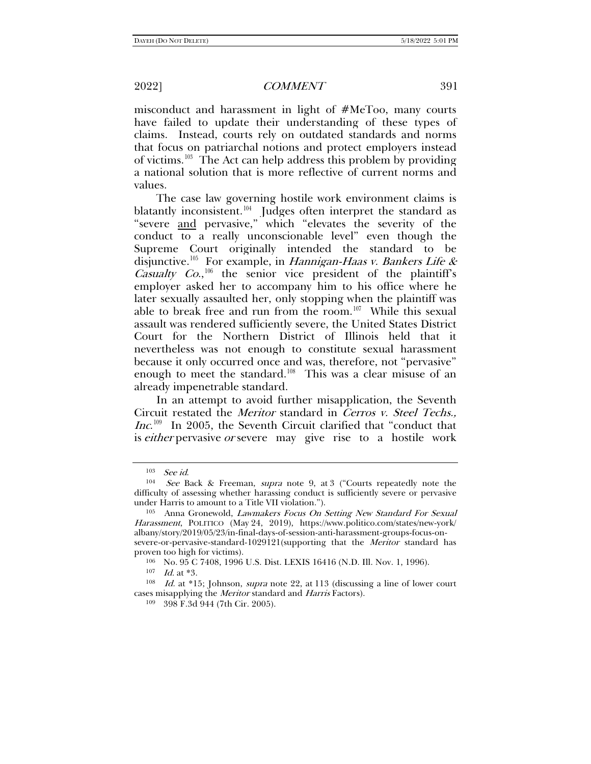misconduct and harassment in light of #MeToo, many courts have failed to update their understanding of these types of claims. Instead, courts rely on outdated standards and norms that focus on patriarchal notions and protect employers instead of victims.<sup>103</sup> The Act can help address this problem by providing a national solution that is more reflective of current norms and values.

<span id="page-16-7"></span>The case law governing hostile work environment claims is blatantly inconsistent.<sup>104</sup> Judges often interpret the standard as "severe and pervasive," which "elevates the severity of the conduct to a really unconscionable level" even though the Supreme Court originally intended the standard to be disjunctive.<sup>105</sup> For example, in *Hannigan-Haas v. Bankers Life & Casualty Co.*,<sup>[106](#page-16-3)</sup> the senior vice president of the plaintiff's employer asked her to accompany him to his office where he later sexually assaulted her, only stopping when the plaintiff was able to break free and run from the room.<sup>107</sup> While this sexual assault was rendered sufficiently severe, the United States District Court for the Northern District of Illinois held that it nevertheless was not enough to constitute sexual harassment because it only occurred once and was, therefore, not "pervasive" enough to meet the standard.<sup>108</sup> This was a clear misuse of an already impenetrable standard.

In an attempt to avoid further misapplication, the Seventh Circuit restated the Meritor standard in Cerros v. Steel Techs., Inc.<sup>109</sup> In 2005, the Seventh Circuit clarified that "conduct that is *either* pervasive *or* severe may give rise to a hostile work

<span id="page-16-1"></span><span id="page-16-0"></span><sup>&</sup>lt;sup>103</sup> See id.<br><sup>104</sup> See Back & Freeman, *supra* note [9,](#page-1-9) at 3 ("Courts repeatedly note the difficulty of assessing whether harassing conduct is sufficiently severe or pervasive under Harris to amount to a Title VII violation.").<br><sup>105</sup> Anna Gronewold, *Lawmakers Focus On Setting New Standard For Sexual* 

<span id="page-16-2"></span>Harassment, POLITICO (May 24, 2019), https://www.politico.com/states/new-york/ albany/story/2019/05/23/in-final-days-of-session-anti-harassment-groups-focus-onsevere-or-pervasive-standard-1029121(supporting that the *Meritor* standard has

<span id="page-16-3"></span>proven too high for victims).<br><sup>106</sup> No. 95 C 7408, 1996 U.S. Dist. LEXIS 16416 (N.D. Ill. Nov. 1, 1996).

 $107$  *Id.* at \*3.

<span id="page-16-6"></span><span id="page-16-5"></span><span id="page-16-4"></span><sup>108</sup> Id. at \*15; Johnson, supra note [22,](#page-4-6) at 113 (discussing a line of lower court cases misapplying the Meritor standard and Harris Factors).

<sup>109</sup> 398 F.3d 944 (7th Cir. 2005).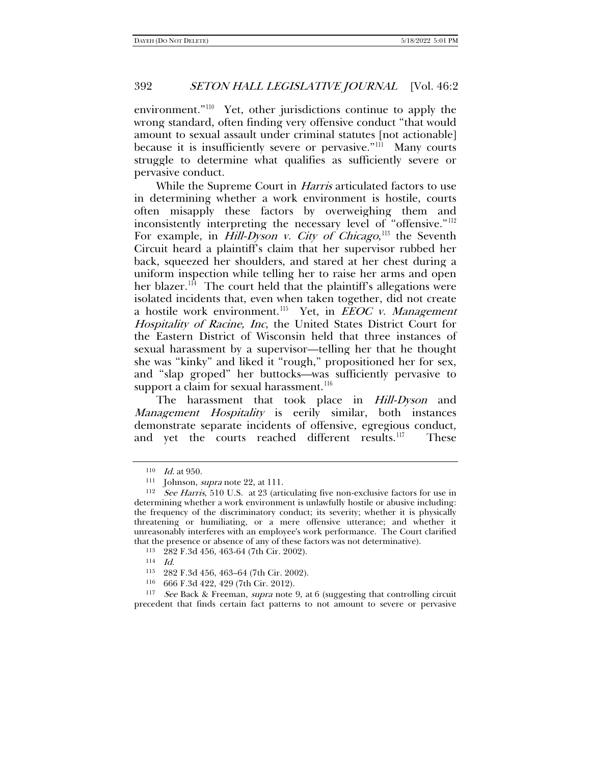environment."[110](#page-17-0) Yet, other jurisdictions continue to apply the wrong standard, often finding very offensive conduct "that would amount to sexual assault under criminal statutes [not actionable] because it is insufficiently severe or pervasive."<sup>111</sup> Many courts struggle to determine what qualifies as sufficiently severe or pervasive conduct.

While the Supreme Court in *Harris* articulated factors to use in determining whether a work environment is hostile, courts often misapply these factors by overweighing them and inconsistently interpreting the necessary level of "offensive."[112](#page-17-2) For example, in *Hill-Dyson v. City of Chicago*,<sup>[113](#page-17-3)</sup> the Seventh Circuit heard a plaintiff's claim that her supervisor rubbed her back, squeezed her shoulders, and stared at her chest during a uniform inspection while telling her to raise her arms and open her blazer.<sup>114</sup> The court held that the plaintiff's allegations were isolated incidents that, even when taken together, did not create a hostile work environment.<sup>115</sup> Yet, in *EEOC v. Management* Hospitality of Racine, Inc, the United States District Court for the Eastern District of Wisconsin held that three instances of sexual harassment by a supervisor—telling her that he thought she was "kinky" and liked it "rough," propositioned her for sex, and "slap groped" her buttocks—was sufficiently pervasive to support a claim for sexual harassment.<sup>[116](#page-17-6)</sup>

The harassment that took place in *Hill-Dyson* and Management Hospitality is eerily similar, both instances demonstrate separate incidents of offensive, egregious conduct, and yet the courts reached different results.<sup>[117](#page-17-7)</sup> These

<sup>&</sup>lt;sup>110</sup> *Id.* at 950. **111** Johnson, *supra* note [22,](#page-4-6) at 111.

<span id="page-17-2"></span><span id="page-17-1"></span><span id="page-17-0"></span> $112$  See Harris, 510 U.S. at 23 (articulating five non-exclusive factors for use in determining whether a work environment is unlawfully hostile or abusive including: the frequency of the discriminatory conduct; its severity; whether it is physically threatening or humiliating, or a mere offensive utterance; and whether it unreasonably interferes with an employee's work performance. The Court clarified that the presence or absence of any of these factors was not determinative). 113 282 F.3d 456, 463-64 (7th Cir. 2002).

<sup>114</sup> Id.

<sup>115</sup> 282 F.3d 456, 463–64 (7th Cir. 2002).

<sup>116</sup> 666 F.3d 422, 429 (7th Cir. 2012).

<span id="page-17-7"></span><span id="page-17-6"></span><span id="page-17-5"></span><span id="page-17-4"></span><span id="page-17-3"></span><sup>&</sup>lt;sup>117</sup> See Back & Freeman, *supra* note [9,](#page-1-9) at 6 (suggesting that controlling circuit precedent that finds certain fact patterns to not amount to severe or pervasive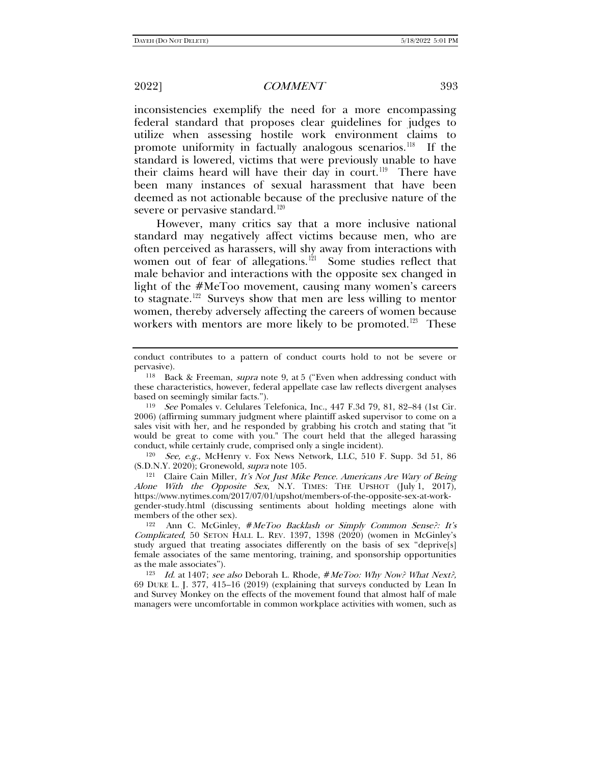inconsistencies exemplify the need for a more encompassing federal standard that proposes clear guidelines for judges to utilize when assessing hostile work environment claims to promote uniformity in factually analogous scenarios.<sup>[118](#page-18-0)</sup> If the standard is lowered, victims that were previously unable to have their claims heard will have their day in court.<sup>119</sup> There have been many instances of sexual harassment that have been deemed as not actionable because of the preclusive nature of the severe or pervasive standard.<sup>[120](#page-18-2)</sup>

<span id="page-18-7"></span>However, many critics say that a more inclusive national standard may negatively affect victims because men, who are often perceived as harassers, will shy away from interactions with women out of fear of allegations. $1^{21}$  Some studies reflect that male behavior and interactions with the opposite sex changed in light of the #MeToo movement, causing many women's careers to stagnate.<sup>[122](#page-18-4)</sup> Surveys show that men are less willing to mentor women, thereby adversely affecting the careers of women because workers with mentors are more likely to be promoted.<sup>[123](#page-18-5)</sup> These

<span id="page-18-2"></span><sup>120</sup> See, e.g., McHenry v. Fox News Network, LLC, 510 F. Supp. 3d 51, 86 (S.D.N.Y. 2020); Gronewold, *supra* note 105.

<span id="page-18-3"></span> $E<sup>121</sup>$  Claire Cain Miller, It's Not Just Mike Pence. Americans Are Wary of Being Alone With the Opposite Sex, N.Y. TIMES: THE UPSHOT (July 1, 2017), https://www.nytimes.com/2017/07/01/upshot/members-of-the-opposite-sex-at-workgender-study.html (discussing sentiments about holding meetings alone with

<span id="page-18-4"></span>Ann C. McGinley, #MeToo Backlash or Simply Common Sense?: It's Complicated, 50 SETON HALL L. REV. 1397, 1398  $(2020)$  (women in McGinley's study argued that treating associates differently on the basis of sex "deprive[s] female associates of the same mentoring, training, and sponsorship opportunities as the male associates").

<span id="page-18-5"></span><sup>123</sup> Id. at 1407; see also Deborah L. Rhode, #MeToo: Why Now? What Next?, 69 DUKE L. J. 377, 415–16 (2019) (explaining that surveys conducted by Lean In and Survey Monkey on the effects of the movement found that almost half of male managers were uncomfortable in common workplace activities with women, such as

<span id="page-18-6"></span>conduct contributes to a pattern of conduct courts hold to not be severe or pervasive).

<span id="page-18-0"></span><sup>118</sup> Back & Freeman, supra note [9,](#page-1-9) at 5 ("Even when addressing conduct with these characteristics, however, federal appellate case law reflects divergent analyses based on seemingly similar facts."). 119 See Pomales v. Celulares Telefonica, Inc., 447 F.3d 79, 81, 82–84 (1st Cir.

<span id="page-18-1"></span><sup>2006) (</sup>affirming summary judgment where plaintiff asked supervisor to come on a sales visit with her, and he responded by grabbing his crotch and stating that "it would be great to come with you." The court held that the alleged harassing conduct, while certainly crude, comprised only a single incident).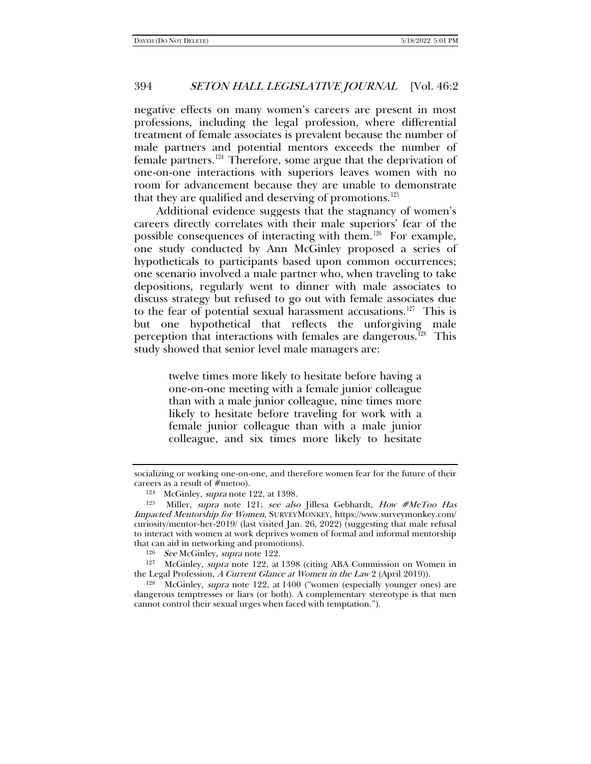negative effects on many women's careers are present in most professions, including the legal profession, where differential treatment of female associates is prevalent because the number of male partners and potential mentors exceeds the number of female partners.[124](#page-19-0) Therefore, some argue that the deprivation of one-on-one interactions with superiors leaves women with no room for advancement because they are unable to demonstrate that they are qualified and deserving of promotions.<sup>[125](#page-19-1)</sup>

<span id="page-19-5"></span>Additional evidence suggests that the stagnancy of women's careers directly correlates with their male superiors' fear of the possible consequences of interacting with them.[126](#page-19-2) For example, one study conducted by Ann McGinley proposed a series of hypotheticals to participants based upon common occurrences; one scenario involved a male partner who, when traveling to take depositions, regularly went to dinner with male associates to discuss strategy but refused to go out with female associates due to the fear of potential sexual harassment accusations.<sup>127</sup> This is but one hypothetical that reflects the unforgiving male perception that interactions with females are dangerous.<sup>128</sup> This study showed that senior level male managers are:

> twelve times more likely to hesitate before having a one-on-one meeting with a female junior colleague than with a male junior colleague, nine times more likely to hesitate before traveling for work with a female junior colleague than with a male junior colleague, and six times more likely to hesitate

socializing or working one-on-one, and therefore women fear for the future of their careers as a result of #metoo).<br><sup>124</sup> McGinley, *supra* note [122,](#page-18-6) at 1398.

<span id="page-19-1"></span><span id="page-19-0"></span><sup>&</sup>lt;sup>125</sup> Miller, supra note [121;](#page-18-7) see also Jillesa Gebhardt, How #MeToo Has Impacted Mentorship for Women, SURVEYMONKEY, https://www.surveymonkey.com/ curiosity/mentor-her-2019/ (last visited Jan. 26, 2022) (suggesting that male refusal to interact with women at work deprives women of formal and informal mentorship that can aid in networking and promotions).<br> $126 \text{ } See \text{ McGinley}, \text{supra note } 122.$ 

<span id="page-19-3"></span><span id="page-19-2"></span><sup>&</sup>lt;sup>127</sup> McGinley, *supra* note [122,](#page-18-6) at 1398 (citing ABA Commission on Women in the Legal Profession, *A Current Glance at Women in the Law* 2 (April 2019)).

<span id="page-19-4"></span> $128$  McGinley, *supra* note [122,](#page-18-6) at 1400 ("women (especially younger ones) are dangerous temptresses or liars (or both). A complementary stereotype is that men cannot control their sexual urges when faced with temptation.").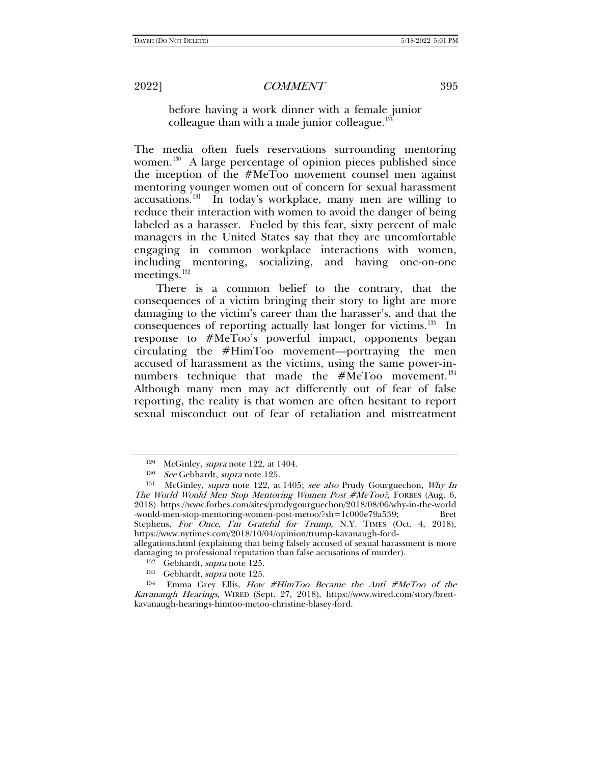before having a work dinner with a female junior colleague than with a male junior colleague. $129$ 

The media often fuels reservations surrounding mentoring women.<sup>130</sup> A large percentage of opinion pieces published since the inception of the #MeToo movement counsel men against mentoring younger women out of concern for sexual harassment accusations. $131$  In today's workplace, many men are willing to reduce their interaction with women to avoid the danger of being labeled as a harasser. Fueled by this fear, sixty percent of male managers in the United States say that they are uncomfortable engaging in common workplace interactions with women, including mentoring, socializing, and having one-on-one meetings. $132$ 

There is a common belief to the contrary, that the consequences of a victim bringing their story to light are more damaging to the victim's career than the harasser's, and that the consequences of reporting actually last longer for victims.<sup>133</sup> In response to #MeToo's powerful impact, opponents began circulating the #HimToo movement—portraying the men accused of harassment as the victims, using the same power-innumbers technique that made the  $#MeToo$  movement.<sup>[134](#page-20-5)</sup> Although many men may act differently out of fear of false reporting, the reality is that women are often hesitant to report sexual misconduct out of fear of retaliation and mistreatment

damaging to professional reputation than false accusations of murder).

<sup>&</sup>lt;sup>129</sup> McGinley, *supra* note [122,](#page-18-6) at 1404.<br><sup>130</sup> *See* Gebhardt, *supra* note 125.

<span id="page-20-2"></span><span id="page-20-1"></span><span id="page-20-0"></span><sup>&</sup>lt;sup>131</sup> McGinley, supra note [122,](#page-18-6) at 1405; see also Prudy Gourguechon, Why In The World Would Men Stop Mentoring Women Post #MeToo?, FORBES (Aug. 6, 2018) https://www.forbes.com/sites/prudygourguechon/2018/08/06/why-in-the-world -would-men-stop-mentoring-women-post-metoo/?sh=1c000e79a539; Bret Stephens, For Once, I'm Grateful for Trump, N.Y. TIMES (Oct. 4, 2018), https://www.nytimes.com/2018/10/04/opinion/trump-kavanaugh-fordallegations.html (explaining that being falsely accused of sexual harassment is more

<span id="page-20-5"></span><span id="page-20-4"></span><span id="page-20-3"></span><sup>&</sup>lt;sup>132</sup> Gebhardt, *supra* note [125.](#page-19-5)<br>
<sup>133</sup> Gebhardt, *supra* note 125.<br>
<sup>134</sup> Emma Grey Ellis, *How #HimToo Became the Anti #MeToo of the* Kavanaugh Hearings, WIRED (Sept. 27, 2018), https://www.wired.com/story/brettkavanaugh-hearings-himtoo-metoo-christine-blasey-ford.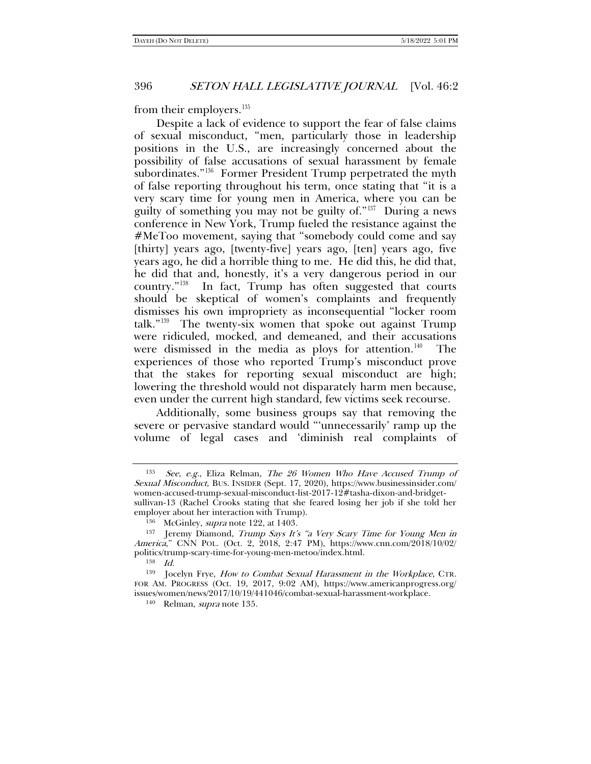<span id="page-21-0"></span>from their employers. $135$ 

Despite a lack of evidence to support the fear of false claims of sexual misconduct, "men, particularly those in leadership positions in the U.S., are increasingly concerned about the possibility of false accusations of sexual harassment by female subordinates."<sup>[136](#page-21-2)</sup> Former President Trump perpetrated the myth of false reporting throughout his term, once stating that "it is a very scary time for young men in America, where you can be guilty of something you may not be guilty of."[137](#page-21-3) During a news conference in New York, Trump fueled the resistance against the #MeToo movement, saying that "somebody could come and say [thirty] years ago, [twenty-five] years ago, [ten] years ago, five years ago, he did a horrible thing to me. He did this, he did that, he did that and, honestly, it's a very dangerous period in our country."[138](#page-21-4) In fact, Trump has often suggested that courts should be skeptical of women's complaints and frequently dismisses his own impropriety as inconsequential "locker room talk."[139](#page-21-5) The twenty-six women that spoke out against Trump were ridiculed, mocked, and demeaned, and their accusations were dismissed in the media as ploys for attention.<sup>140</sup> The experiences of those who reported Trump's misconduct prove that the stakes for reporting sexual misconduct are high; lowering the threshold would not disparately harm men because, even under the current high standard, few victims seek recourse.

Additionally, some business groups say that removing the severe or pervasive standard would "'unnecessarily' ramp up the volume of legal cases and 'diminish real complaints of

<span id="page-21-1"></span><sup>135</sup> See, e.g., Eliza Relman, The 26 Women Who Have Accused Trump of Sexual Misconduct, BUS. INSIDER (Sept. 17, 2020), https://www.businessinsider.com/ women-accused-trump-sexual-misconduct-list-2017-12#tasha-dixon-and-bridgetsullivan-13 (Rachel Crooks stating that she feared losing her job if she told her employer about her interaction with Trump).

<sup>&</sup>lt;sup>136</sup> McGinley, *supra* note [122,](#page-18-6) at 1403.

<span id="page-21-3"></span><span id="page-21-2"></span><sup>&</sup>lt;sup>137</sup> Jeremy Diamond, Trump Says It's "a Very Scary Time for Young Men in America," CNN POL. (Oct. 2, 2018, 2:47 PM), https://www.cnn.com/2018/10/02/ politics/trump-scary-time-for-young-men-metoo/index.html.<br> $^{138}$  Id.

<span id="page-21-6"></span><span id="page-21-5"></span><span id="page-21-4"></span><sup>&</sup>lt;sup>139</sup> Jocelyn Frye, *How to Combat Sexual Harassment in the Workplace*, CTR. FOR AM. PROGRESS (Oct. 19, 2017, 9:02 AM), https://www.americanprogress.org/ issues/women/news/2017/10/19/441046/combat-sexual-harassment-workplace.

<sup>140</sup> Relman, supra note [135.](#page-21-0)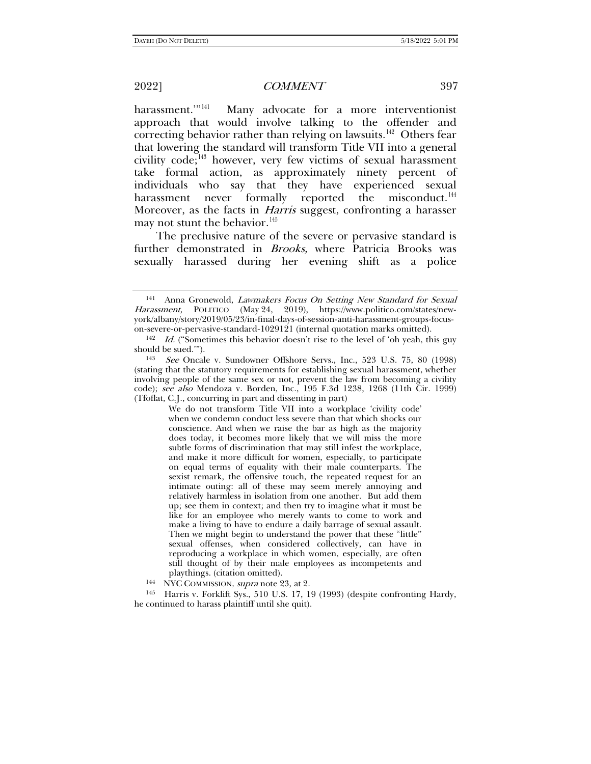harassment."<sup>[141](#page-22-0)</sup> Many advocate for a more interventionist approach that would involve talking to the offender and correcting behavior rather than relying on lawsuits.<sup>142</sup> Others fear that lowering the standard will transform Title VII into a general civility code; $^{143}$  $^{143}$  $^{143}$  however, very few victims of sexual harassment take formal action, as approximately ninety percent of individuals who say that they have experienced sexual harassment never formally reported the misconduct.<sup>[144](#page-22-3)</sup> Moreover, as the facts in *Harris* suggest, confronting a harasser may not stunt the behavior.<sup>[145](#page-22-4)</sup>

The preclusive nature of the severe or pervasive standard is further demonstrated in Brooks, where Patricia Brooks was sexually harassed during her evening shift as a police

We do not transform Title VII into a workplace 'civility code' when we condemn conduct less severe than that which shocks our conscience. And when we raise the bar as high as the majority does today, it becomes more likely that we will miss the more subtle forms of discrimination that may still infest the workplace, and make it more difficult for women, especially, to participate on equal terms of equality with their male counterparts. The sexist remark, the offensive touch, the repeated request for an intimate outing: all of these may seem merely annoying and relatively harmless in isolation from one another. But add them up; see them in context; and then try to imagine what it must be like for an employee who merely wants to come to work and make a living to have to endure a daily barrage of sexual assault. Then we might begin to understand the power that these "little" sexual offenses, when considered collectively, can have in reproducing a workplace in which women, especially, are often still thought of by their male employees as incompetents and

playthings. (citation omitted).<br><sup>144</sup> NYC COMMISSION, *supra* note [23,](#page-4-0) at 2.

<span id="page-22-4"></span><span id="page-22-3"></span><sup>145</sup> Harris v. Forklift Sys., 510 U.S. 17, 19 (1993) (despite confronting Hardy, he continued to harass plaintiff until she quit).

<span id="page-22-0"></span><sup>141</sup> Anna Gronewold, Lawmakers Focus On Setting New Standard for Sexual Harassment, POLITICO (May 24, 2019), https://www.politico.com/states/newyork/albany/story/2019/05/23/in-final-days-of-session-anti-harassment-groups-focus-

<span id="page-22-1"></span> $142$  *Id.* ("Sometimes this behavior doesn't rise to the level of 'oh yeah, this guy should be sued.").

<span id="page-22-2"></span><sup>&</sup>lt;sup>143</sup> See Oncale v. Sundowner Offshore Servs., Inc., 523 U.S. 75, 80 (1998) (stating that the statutory requirements for establishing sexual harassment, whether involving people of the same sex or not, prevent the law from becoming a civility code); see also Mendoza v. Borden, Inc., 195 F.3d 1238, 1268 (11th Cir. 1999) (Tfoflat, C.J., concurring in part and dissenting in part)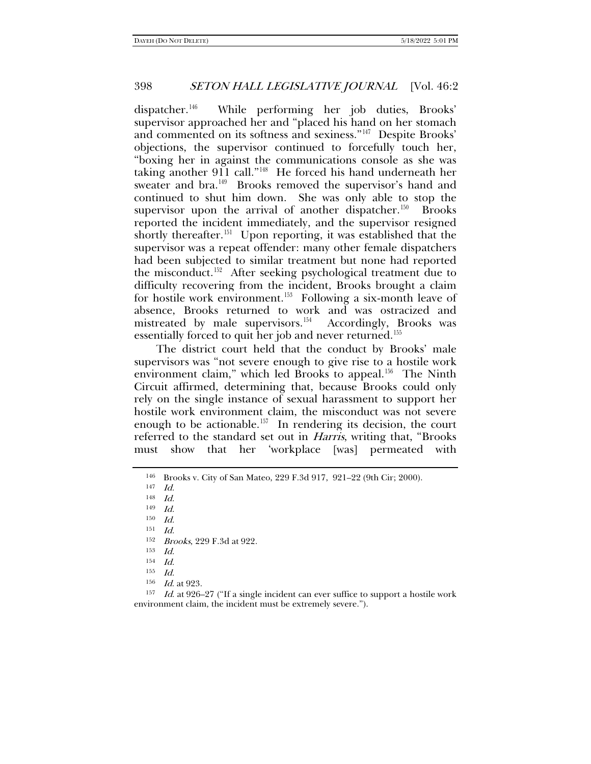dispatcher.[146](#page-23-0) While performing her job duties, Brooks' supervisor approached her and "placed his hand on her stomach and commented on its softness and sexiness."[147](#page-23-1) Despite Brooks' objections, the supervisor continued to forcefully touch her, "boxing her in against the communications console as she was taking another 911 call."[148](#page-23-2) He forced his hand underneath her sweater and bra.<sup>149</sup> Brooks removed the supervisor's hand and continued to shut him down. She was only able to stop the supervisor upon the arrival of another dispatcher.<sup>150</sup> Brooks reported the incident immediately, and the supervisor resigned shortly thereafter.<sup>151</sup> Upon reporting, it was established that the supervisor was a repeat offender: many other female dispatchers had been subjected to similar treatment but none had reported the misconduct.<sup>[152](#page-23-6)</sup> After seeking psychological treatment due to difficulty recovering from the incident, Brooks brought a claim for hostile work environment.<sup>[153](#page-23-7)</sup> Following a six-month leave of absence, Brooks returned to work and was ostracized and mistreated by male supervisors.<sup>[154](#page-23-8)</sup> Accordingly, Brooks was essentially forced to quit her job and never returned.<sup>[155](#page-23-9)</sup>

The district court held that the conduct by Brooks' male supervisors was "not severe enough to give rise to a hostile work environment claim," which led Brooks to appeal.<sup>[156](#page-23-10)</sup> The Ninth Circuit affirmed, determining that, because Brooks could only rely on the single instance of sexual harassment to support her hostile work environment claim, the misconduct was not severe enough to be actionable.<sup>[157](#page-23-11)</sup> In rendering its decision, the court referred to the standard set out in Harris, writing that, "Brooks must show that her 'workplace [was] permeated with

<span id="page-23-5"></span> $151$  Id.

 $\frac{152}{153}$  Brooks, 229 F.3d at 922.

<span id="page-23-11"></span><span id="page-23-10"></span><span id="page-23-9"></span><span id="page-23-8"></span><span id="page-23-7"></span><span id="page-23-6"></span><sup>157</sup> Id. at 926–27 ("If a single incident can ever suffice to support a hostile work environment claim, the incident must be extremely severe.").

<span id="page-23-0"></span><sup>&</sup>lt;sup>146</sup> Brooks v. City of San Mateo, 229 F.3d 917, 921–22 (9th Cir; 2000).

Id.

<span id="page-23-3"></span><span id="page-23-2"></span><span id="page-23-1"></span><sup>148</sup> Id.

 $149$  *Id.* 

<span id="page-23-4"></span><sup>150</sup> Id.

 $\frac{153}{154}$  *Id.* 

 $\frac{155}{156}$  *Id.* at 923.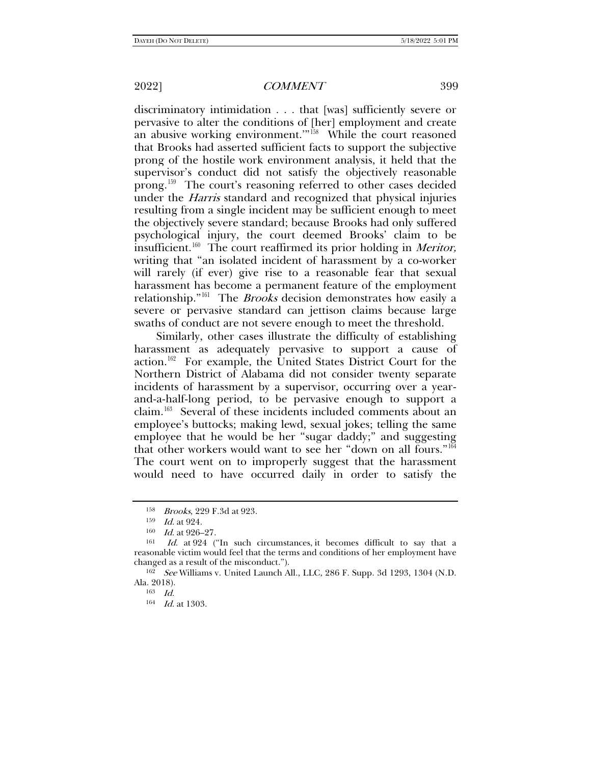discriminatory intimidation . . . that [was] sufficiently severe or pervasive to alter the conditions of [her] employment and create an abusive working environment.'"[158](#page-24-0) While the court reasoned that Brooks had asserted sufficient facts to support the subjective prong of the hostile work environment analysis, it held that the supervisor's conduct did not satisfy the objectively reasonable prong.[159](#page-24-1) The court's reasoning referred to other cases decided under the *Harris* standard and recognized that physical injuries resulting from a single incident may be sufficient enough to meet the objectively severe standard; because Brooks had only suffered psychological injury, the court deemed Brooks' claim to be  $\frac{1}{100}$  insufficient.<sup>160</sup> The court reaffirmed its prior holding in *Meritor*, writing that "an isolated incident of harassment by a co-worker will rarely (if ever) give rise to a reasonable fear that sexual harassment has become a permanent feature of the employment relationship."<sup>161</sup> The *Brooks* decision demonstrates how easily a severe or pervasive standard can jettison claims because large swaths of conduct are not severe enough to meet the threshold.

Similarly, other cases illustrate the difficulty of establishing harassment as adequately pervasive to support a cause of action.[162](#page-24-4) For example, the United States District Court for the Northern District of Alabama did not consider twenty separate incidents of harassment by a supervisor, occurring over a yearand-a-half-long period, to be pervasive enough to support a claim.[163](#page-24-5) Several of these incidents included comments about an employee's buttocks; making lewd, sexual jokes; telling the same employee that he would be her "sugar daddy;" and suggesting that other workers would want to see her "down on all fours."[164](#page-24-6) The court went on to improperly suggest that the harassment would need to have occurred daily in order to satisfy the

<sup>158</sup> Brooks, 229 F.3d at 923.

<sup>159</sup> Id. at 924.

<sup>160</sup> *Id.* at 926–27.

<span id="page-24-3"></span><span id="page-24-2"></span><span id="page-24-1"></span><span id="page-24-0"></span><sup>161</sup> Id. at 924 ("In such circumstances, it becomes difficult to say that a reasonable victim would feel that the terms and conditions of her employment have changed as a result of the misconduct.").

<span id="page-24-6"></span><span id="page-24-5"></span><span id="page-24-4"></span><sup>162</sup> See Williams v. United Launch All., LLC, 286 F. Supp. 3d 1293, 1304 (N.D. Ala. 2018).

<sup>163</sup> Id.

<sup>&</sup>lt;sup>164</sup> *Id.* at 1303.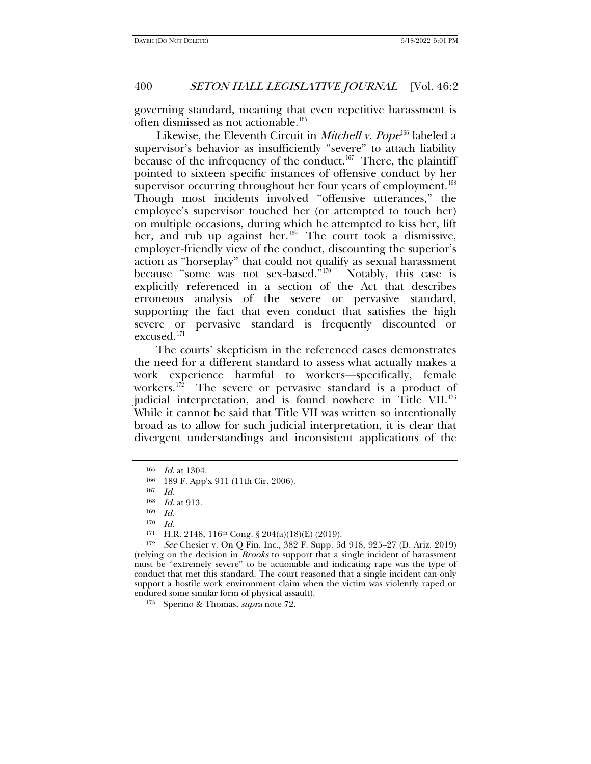governing standard, meaning that even repetitive harassment is often dismissed as not actionable.<sup>[165](#page-25-0)</sup>

Likewise, the Eleventh Circuit in Mitchell v. Pope<sup>[166](#page-25-1)</sup> labeled a supervisor's behavior as insufficiently "severe" to attach liability because of the infrequency of the conduct.<sup>167</sup> There, the plaintiff pointed to sixteen specific instances of offensive conduct by her supervisor occurring throughout her four years of employment.<sup>[168](#page-25-3)</sup> Though most incidents involved "offensive utterances," the employee's supervisor touched her (or attempted to touch her) on multiple occasions, during which he attempted to kiss her, lift her, and rub up against her. $169$  The court took a dismissive, employer-friendly view of the conduct, discounting the superior's action as "horseplay" that could not qualify as sexual harassment because "some was not sex-based."[170](#page-25-5) Notably, this case is explicitly referenced in a section of the Act that describes erroneous analysis of the severe or pervasive standard, supporting the fact that even conduct that satisfies the high severe or pervasive standard is frequently discounted or excused.[171](#page-25-6)

The courts' skepticism in the referenced cases demonstrates the need for a different standard to assess what actually makes a work experience harmful to workers—specifically, female workers.<sup>172</sup> The severe or pervasive standard is a product of judicial interpretation, and is found nowhere in Title VII.<sup>[173](#page-25-8)</sup> While it cannot be said that Title VII was written so intentionally broad as to allow for such judicial interpretation, it is clear that divergent understandings and inconsistent applications of the

<span id="page-25-8"></span><sup>173</sup> Sperino & Thomas, supra not[e 72.](#page-10-4) 

<span id="page-25-0"></span><sup>165</sup> Id. at 1304.

<span id="page-25-1"></span><sup>166</sup> 189 F. App'x 911 (11th Cir. 2006).

<sup>167</sup> Id.

<sup>168</sup> Id. at 913.

<sup>169</sup> Id.

<sup>170</sup> Id.

<sup>171</sup> H.R. 2148, 116th Cong. § 204(a)(18)(E) (2019).

<span id="page-25-7"></span><span id="page-25-6"></span><span id="page-25-5"></span><span id="page-25-4"></span><span id="page-25-3"></span><span id="page-25-2"></span> $172$  See Chesier v. On O Fin. Inc., 382 F. Supp. 3d 918, 925–27 (D. Ariz. 2019) (relying on the decision in Brooks to support that a single incident of harassment must be "extremely severe" to be actionable and indicating rape was the type of conduct that met this standard. The court reasoned that a single incident can only support a hostile work environment claim when the victim was violently raped or endured some similar form of physical assault).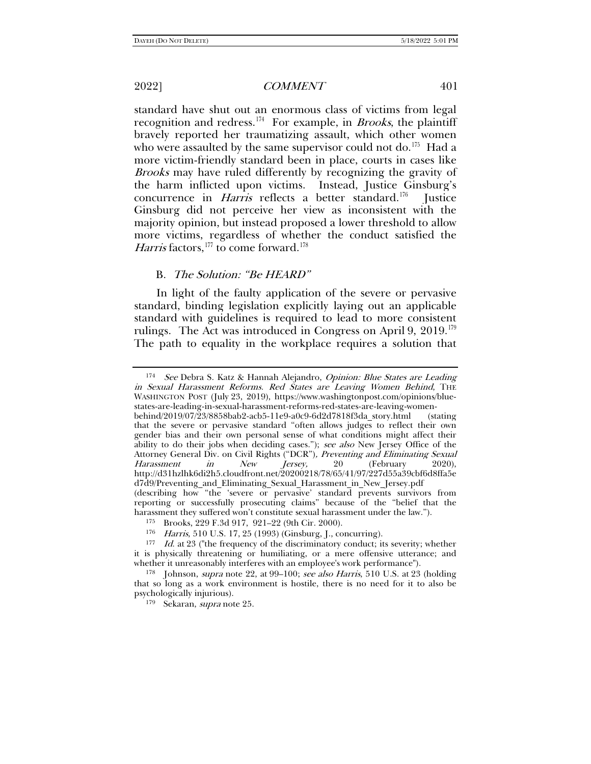standard have shut out an enormous class of victims from legal recognition and redress.<sup>174</sup> For example, in *Brooks*, the plaintiff bravely reported her traumatizing assault, which other women who were assaulted by the same supervisor could not do.<sup>[175](#page-26-1)</sup> Had a more victim-friendly standard been in place, courts in cases like Brooks may have ruled differently by recognizing the gravity of the harm inflicted upon victims. Instead, Justice Ginsburg's concurrence in *Harris* reflects a better standard.<sup>176</sup> Justice Ginsburg did not perceive her view as inconsistent with the majority opinion, but instead proposed a lower threshold to allow more victims, regardless of whether the conduct satisfied the Harris factors,<sup>[177](#page-26-3)</sup> to come forward.<sup>[178](#page-26-4)</sup>

#### B. The Solution: "Be HEARD"

In light of the faulty application of the severe or pervasive standard, binding legislation explicitly laying out an applicable standard with guidelines is required to lead to more consistent rulings. The Act was introduced in Congress on April 9,  $2019$ .<sup>[179](#page-26-5)</sup> The path to equality in the workplace requires a solution that

<span id="page-26-0"></span><sup>&</sup>lt;sup>174</sup> See Debra S. Katz & Hannah Alejandro, *Opinion: Blue States are Leading* in Sexual Harassment Reforms. Red States are Leaving Women Behind, THE WASHINGTON POST (July 23, 2019), https://www.washingtonpost.com/opinions/bluestates-are-leading-in-sexual-harassment-reforms-red-states-are-leaving-womenbehind/2019/07/23/8858bab2-acb5-11e9-a0c9-6d2d7818f3da\_story.html (stating that the severe or pervasive standard "often allows judges to reflect their own gender bias and their own personal sense of what conditions might affect their ability to do their jobs when deciding cases."); see also New Jersey Office of the Attorney General Div. on Civil Rights ("DCR"), Preventing and Eliminating Sexual Harassment in New Jersey, 20 (February 2020), Harassment http://d31hzlhk6di2h5.cloudfront.net/20200218/78/65/41/97/227d55a39cbf6d8ffa5e d7d9/Preventing\_and\_Eliminating\_Sexual\_Harassment\_in\_New\_Jersey.pdf (describing how "the 'severe or pervasive' standard prevents survivors from reporting or successfully prosecuting claims" because of the "belief that the harassment they suffered won't constitute sexual harassment under the law.").

<sup>175</sup> Brooks, 229 F.3d 917, 921–22 (9th Cir. 2000).

<sup>176</sup> Harris, 510 U.S. 17, 25 (1993) (Ginsburg, J., concurring).

<span id="page-26-3"></span><span id="page-26-2"></span><span id="page-26-1"></span><sup>177</sup> Id. at 23 ("the frequency of the discriminatory conduct; its severity; whether it is physically threatening or humiliating, or a mere offensive utterance; and whether it unreasonably interferes with an employee's work performance").

<span id="page-26-5"></span><span id="page-26-4"></span><sup>&</sup>lt;sup>178</sup> Johnson, *supra* note [22,](#page-4-6) at 99-100; see also Harris, 510 U.S. at 23 (holding that so long as a work environment is hostile, there is no need for it to also be psychologically injurious).

<sup>179</sup> Sekaran, supra note [25.](#page-4-7)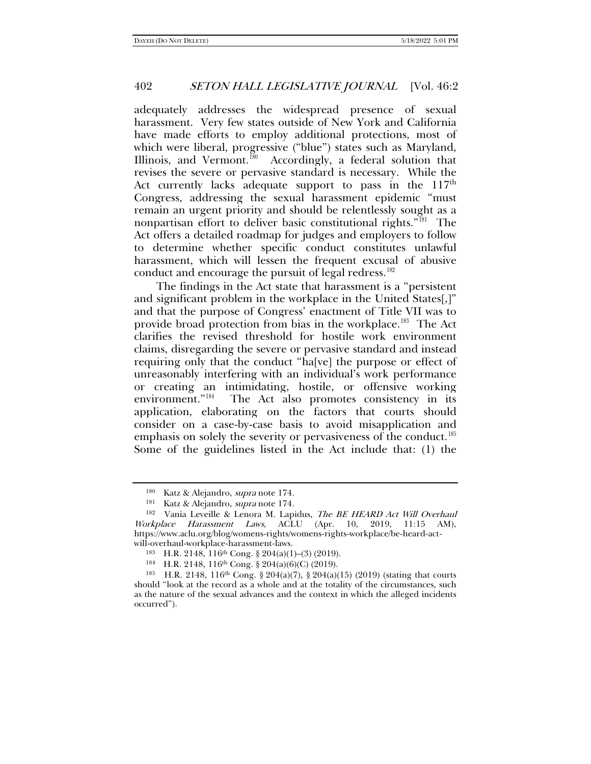adequately addresses the widespread presence of sexual harassment. Very few states outside of New York and California have made efforts to employ additional protections, most of which were liberal, progressive ("blue") states such as Maryland, Illinois, and Vermont.<sup>[180](#page-27-0)</sup> Accordingly, a federal solution that revises the severe or pervasive standard is necessary. While the Act currently lacks adequate support to pass in the  $117<sup>th</sup>$ Congress, addressing the sexual harassment epidemic "must remain an urgent priority and should be relentlessly sought as a nonpartisan effort to deliver basic constitutional rights."<sup> $181$ </sup> The Act offers a detailed roadmap for judges and employers to follow to determine whether specific conduct constitutes unlawful harassment, which will lessen the frequent excusal of abusive conduct and encourage the pursuit of legal redress.<sup>[182](#page-27-2)</sup>

The findings in the Act state that harassment is a "persistent and significant problem in the workplace in the United States[,]" and that the purpose of Congress' enactment of Title VII was to provide broad protection from bias in the workplace.[183](#page-27-3) The Act clarifies the revised threshold for hostile work environment claims, disregarding the severe or pervasive standard and instead requiring only that the conduct "ha[ve] the purpose or effect of unreasonably interfering with an individual's work performance or creating an intimidating, hostile, or offensive working environment."[184](#page-27-4) The Act also promotes consistency in its application, elaborating on the factors that courts should consider on a case-by-case basis to avoid misapplication and emphasis on solely the severity or pervasiveness of the conduct.<sup>[185](#page-27-5)</sup> Some of the guidelines listed in the Act include that: (1) the

<span id="page-27-2"></span><span id="page-27-1"></span><span id="page-27-0"></span><sup>180</sup> Katz & Alejandro, *supra* note 174.<br><sup>181</sup> Katz & Alejandro, *supra* note 174.<br><sup>182</sup> Vania Leveille & Lenora M. Lapidus, *The BE HEARD Act Will Overhaul* Workplace Harassment Laws, ACLU (Apr. 10, 2019, 11:15 AM), https://www.aclu.org/blog/womens-rights/womens-rights-workplace/be-heard-act-

<span id="page-27-3"></span>will-overhaul-workplace-harassment-laws.<br><sup>183</sup> H.R. 2148, 116<sup>th</sup> Cong. § 204(a)(1)–(3) (2019).<br><sup>184</sup> H.R. 2148, 116<sup>th</sup> Cong. § 204(a)(6)(C) (2019).

<span id="page-27-5"></span><span id="page-27-4"></span><sup>185</sup> H.R. 2148, 116<sup>th</sup> Cong. § 204(a)(7), § 204(a)(15) (2019) (stating that courts should "look at the record as a whole and at the totality of the circumstances, such as the nature of the sexual advances and the context in which the alleged incidents occurred").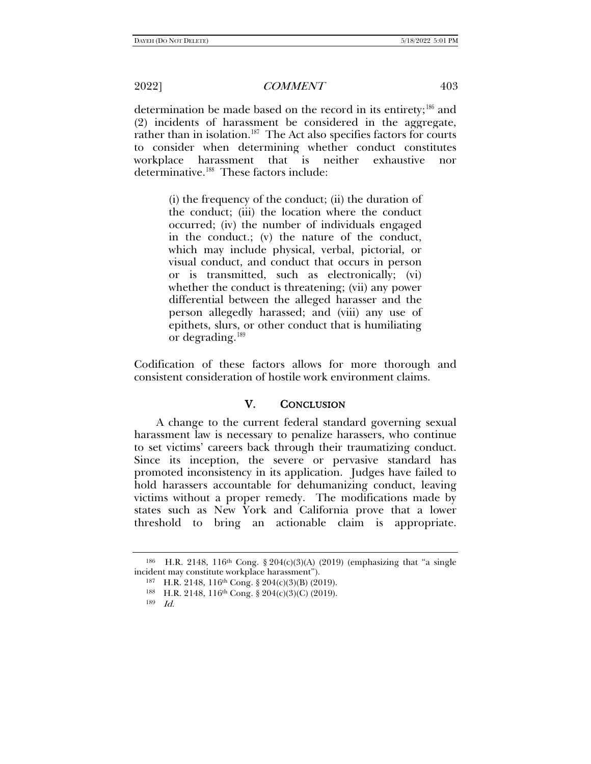determination be made based on the record in its entirety;<sup>[186](#page-28-0)</sup> and (2) incidents of harassment be considered in the aggregate, rather than in isolation.<sup>187</sup> The Act also specifies factors for courts to consider when determining whether conduct constitutes workplace harassment that is neither exhaustive nor determinative.[188](#page-28-2) These factors include:

> (i) the frequency of the conduct; (ii) the duration of the conduct; (iii) the location where the conduct occurred; (iv) the number of individuals engaged in the conduct.; (v) the nature of the conduct, which may include physical, verbal, pictorial, or visual conduct, and conduct that occurs in person or is transmitted, such as electronically; (vi) whether the conduct is threatening; (vii) any power differential between the alleged harasser and the person allegedly harassed; and (viii) any use of epithets, slurs, or other conduct that is humiliating or degrading.[189](#page-28-3)

Codification of these factors allows for more thorough and consistent consideration of hostile work environment claims.

## V. CONCLUSION

A change to the current federal standard governing sexual harassment law is necessary to penalize harassers, who continue to set victims' careers back through their traumatizing conduct. Since its inception, the severe or pervasive standard has promoted inconsistency in its application. Judges have failed to hold harassers accountable for dehumanizing conduct, leaving victims without a proper remedy. The modifications made by states such as New York and California prove that a lower threshold to bring an actionable claim is appropriate.

<span id="page-28-3"></span><span id="page-28-2"></span><span id="page-28-1"></span><span id="page-28-0"></span><sup>&</sup>lt;sup>186</sup> H.R. 2148, 116<sup>th</sup> Cong. § 204(c)(3)(A) (2019) (emphasizing that "a single incident may constitute workplace harassment").

<sup>187</sup> H.R. 2148, 116<sup>th</sup> Cong. § 204(c)(3)(B) (2019).<br><sup>188</sup> H.R. 2148, 116<sup>th</sup> Cong. § 204(c)(3)(C) (2019).

<sup>189</sup> Id.